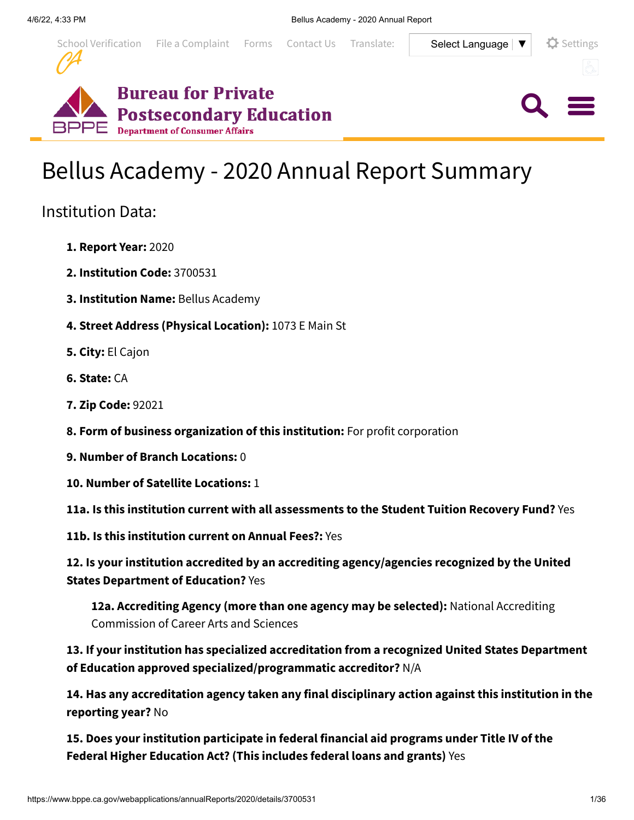

 $Q \equiv$ 





# Institution Data:

- **1. Report Year:** 2020
- **2. Institution Code:** 3700531
- **3. Institution Name:** Bellus Academy
- **4. Street Address (Physical Location):** 1073 E Main St
- **5. City:** El Cajon
- **6. State:** CA
- **7. Zip Code:** 92021
- **8. Form of business organization of this institution:** For profit corporation
- **9. Number of Branch Locations:** 0
- **10. Number of Satellite Locations:** 1
- **11a. Is this institution current with all assessments to the Student Tuition Recovery Fund?** Yes
- **11b. Is this institution current on Annual Fees?:** Yes

**12. Is your institution accredited by an accrediting agency/agencies recognized by the United States Department of Education?** Yes

**12a. Accrediting Agency (more than one agency may be selected):** National Accrediting Commission of Career Arts and Sciences

**13. If your institution has specialized accreditation from a recognized United States Department of Education approved specialized/programmatic accreditor?** N/A

**14. Has any accreditation agency taken any final disciplinary action against this institution in the reporting year?** No

**15. Does your institution participate in federal financial aid programs under Title IV of the Federal Higher Education Act? (This includes federal loans and grants)** Yes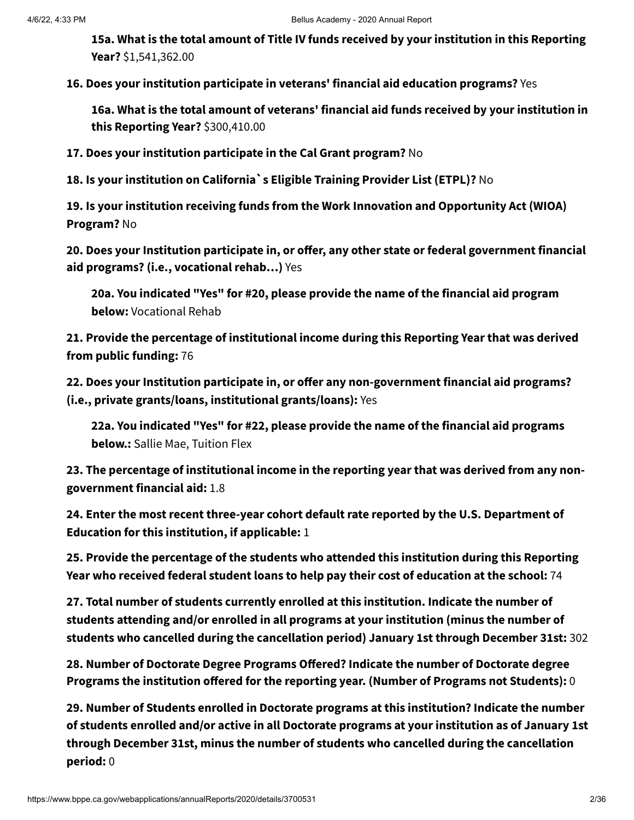**15a. What is the total amount of Title IV funds received by your institution in this Reporting Year?** \$1,541,362.00

**16. Does your institution participate in veterans' financial aid education programs?** Yes

**16a. What is the total amount of veterans' financial aid funds received by your institution in this Reporting Year?** \$300,410.00

**17. Does your institution participate in the Cal Grant program?** No

**18. Is your institution on California`s Eligible Training Provider List (ETPL)?** No

**19. Is your institution receiving funds from the Work Innovation and Opportunity Act (WIOA) Program?** No

**20. Does your Institution participate in, or offer, any other state or federal government financial aid programs? (i.e., vocational rehab…)** Yes

**20a. You indicated "Yes" for #20, please provide the name of the financial aid program below:** Vocational Rehab

**21. Provide the percentage of institutional income during this Reporting Year that was derived from public funding:** 76

**22. Does your Institution participate in, or offer any non-government financial aid programs? (i.e., private grants/loans, institutional grants/loans):** Yes

**22a. You indicated "Yes" for #22, please provide the name of the financial aid programs below.:** Sallie Mae, Tuition Flex

**23. The percentage of institutional income in the reporting year that was derived from any nongovernment financial aid:** 1.8

**24. Enter the most recent three-year cohort default rate reported by the U.S. Department of Education for this institution, if applicable:** 1

**25. Provide the percentage of the students who attended this institution during this Reporting Year who received federal student loans to help pay their cost of education at the school:** 74

**27. Total number of students currently enrolled at this institution. Indicate the number of students attending and/or enrolled in all programs at your institution (minus the number of students who cancelled during the cancellation period) January 1st through December 31st:** 302

**28. Number of Doctorate Degree Programs Offered? Indicate the number of Doctorate degree Programs the institution offered for the reporting year. (Number of Programs not Students):** 0

**29. Number of Students enrolled in Doctorate programs at this institution? Indicate the number of students enrolled and/or active in all Doctorate programs at your institution as of January 1st through December 31st, minus the number of students who cancelled during the cancellation period:** 0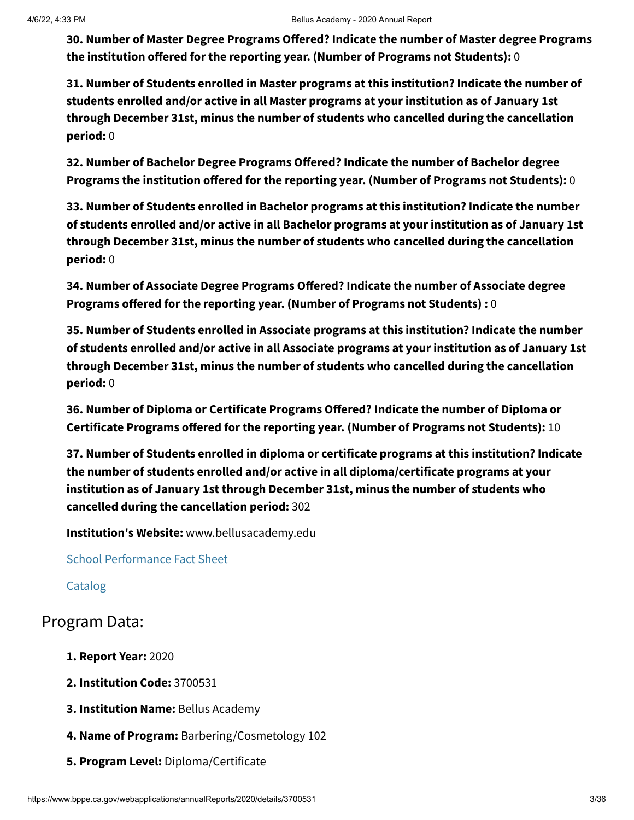**30. Number of Master Degree Programs Offered? Indicate the number of Master degree Programs the institution offered for the reporting year. (Number of Programs not Students):** 0

**31. Number of Students enrolled in Master programs at this institution? Indicate the number of students enrolled and/or active in all Master programs at your institution as of January 1st through December 31st, minus the number of students who cancelled during the cancellation period:** 0

**32. Number of Bachelor Degree Programs Offered? Indicate the number of Bachelor degree Programs the institution offered for the reporting year. (Number of Programs not Students):** 0

**33. Number of Students enrolled in Bachelor programs at this institution? Indicate the number of students enrolled and/or active in all Bachelor programs at your institution as of January 1st through December 31st, minus the number of students who cancelled during the cancellation period:** 0

**34. Number of Associate Degree Programs Offered? Indicate the number of Associate degree Programs offered for the reporting year. (Number of Programs not Students) :** 0

**35. Number of Students enrolled in Associate programs at this institution? Indicate the number of students enrolled and/or active in all Associate programs at your institution as of January 1st through December 31st, minus the number of students who cancelled during the cancellation period:** 0

**36. Number of Diploma or Certificate Programs Offered? Indicate the number of Diploma or Certificate Programs offered for the reporting year. (Number of Programs not Students):** 10

**37. Number of Students enrolled in diploma or certificate programs at this institution? Indicate the number of students enrolled and/or active in all diploma/certificate programs at your institution as of January 1st through December 31st, minus the number of students who cancelled during the cancellation period:** 302

**Institution's Website:** www.bellusacademy.edu

School [Performance](https://www.bppe.ca.gov/webapplications/annualReports/2020/document/9EA1F0F1-5083-4233-9B25-196E2347F413) Fact Sheet

[Catalog](https://www.bppe.ca.gov/webapplications/annualReports/2020/document/572F1888-1BB3-4864-BAF3-EA62848252AD)

## Program Data:

- **1. Report Year:** 2020
- **2. Institution Code:** 3700531
- **3. Institution Name:** Bellus Academy
- **4. Name of Program:** Barbering/Cosmetology 102
- **5. Program Level:** Diploma/Certificate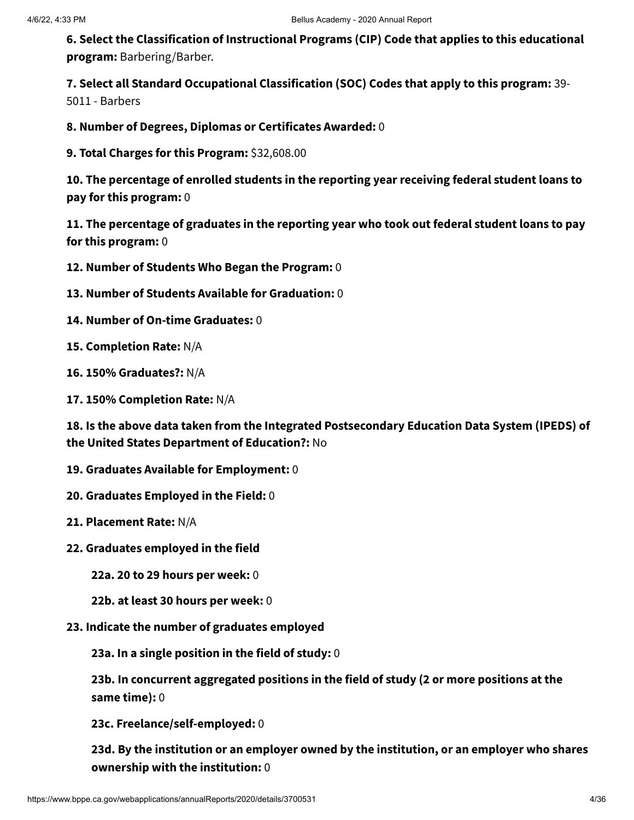**6. Select the Classification of Instructional Programs (CIP) Code that applies to this educational program:** Barbering/Barber.

**7. Select all Standard Occupational Classification (SOC) Codes that apply to this program:** 39- 5011 - Barbers

**8. Number of Degrees, Diplomas or Certificates Awarded:** 0

**9. Total Charges for this Program:** \$32,608.00

**10. The percentage of enrolled students in the reporting year receiving federal student loans to pay for this program:** 0

**11. The percentage of graduates in the reporting year who took out federal student loans to pay for this program:** 0

**12. Number of Students Who Began the Program:** 0

- **13. Number of Students Available for Graduation:** 0
- **14. Number of On-time Graduates:** 0

**15. Completion Rate:** N/A

- **16. 150% Graduates?:** N/A
- **17. 150% Completion Rate:** N/A

**18. Is the above data taken from the Integrated Postsecondary Education Data System (IPEDS) of the United States Department of Education?:** No

- **19. Graduates Available for Employment:** 0
- **20. Graduates Employed in the Field:** 0
- **21. Placement Rate:** N/A
- **22. Graduates employed in the field**

**22a. 20 to 29 hours per week:** 0

**22b. at least 30 hours per week:** 0

**23. Indicate the number of graduates employed**

**23a. In a single position in the field of study:** 0

**23b. In concurrent aggregated positions in the field of study (2 or more positions at the same time):** 0

**23c. Freelance/self-employed:** 0

**23d. By the institution or an employer owned by the institution, or an employer who shares ownership with the institution:** 0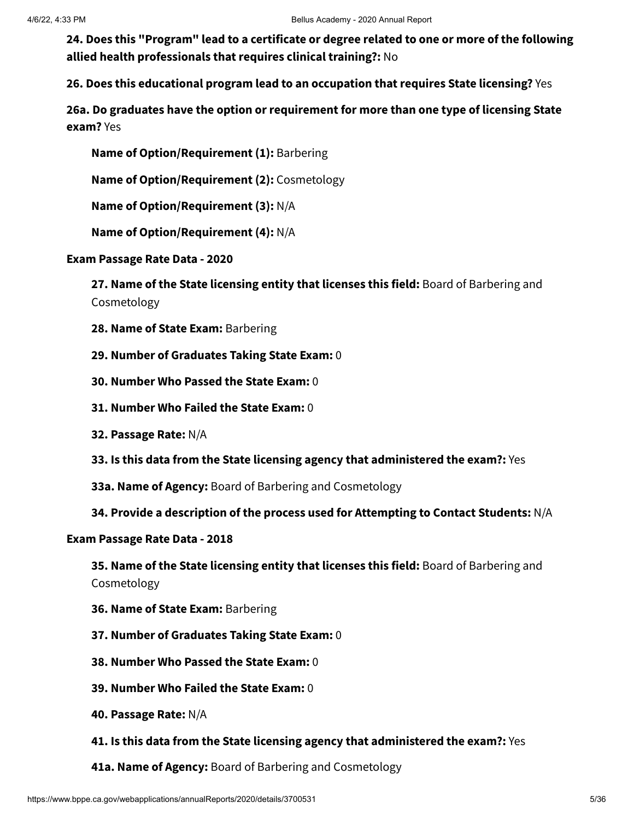**24. Does this "Program" lead to a certificate or degree related to one or more of the following allied health professionals that requires clinical training?:** No

**26. Does this educational program lead to an occupation that requires State licensing?** Yes

**26a. Do graduates have the option or requirement for more than one type of licensing State exam?** Yes

**Name of Option/Requirement (1):** Barbering

**Name of Option/Requirement (2):** Cosmetology

**Name of Option/Requirement (3):** N/A

**Name of Option/Requirement (4):** N/A

**Exam Passage Rate Data - 2020**

**27. Name of the State licensing entity that licenses this field:** Board of Barbering and Cosmetology

- **28. Name of State Exam:** Barbering
- **29. Number of Graduates Taking State Exam:** 0
- **30. Number Who Passed the State Exam:** 0
- **31. Number Who Failed the State Exam:** 0
- **32. Passage Rate:** N/A
- **33. Is this data from the State licensing agency that administered the exam?:** Yes
- **33a. Name of Agency:** Board of Barbering and Cosmetology
- **34. Provide a description of the process used for Attempting to Contact Students:** N/A

#### **Exam Passage Rate Data - 2018**

**35. Name of the State licensing entity that licenses this field:** Board of Barbering and Cosmetology

- **36. Name of State Exam:** Barbering
- **37. Number of Graduates Taking State Exam:** 0
- **38. Number Who Passed the State Exam:** 0
- **39. Number Who Failed the State Exam:** 0
- **40. Passage Rate:** N/A
- **41. Is this data from the State licensing agency that administered the exam?:** Yes
- **41a. Name of Agency:** Board of Barbering and Cosmetology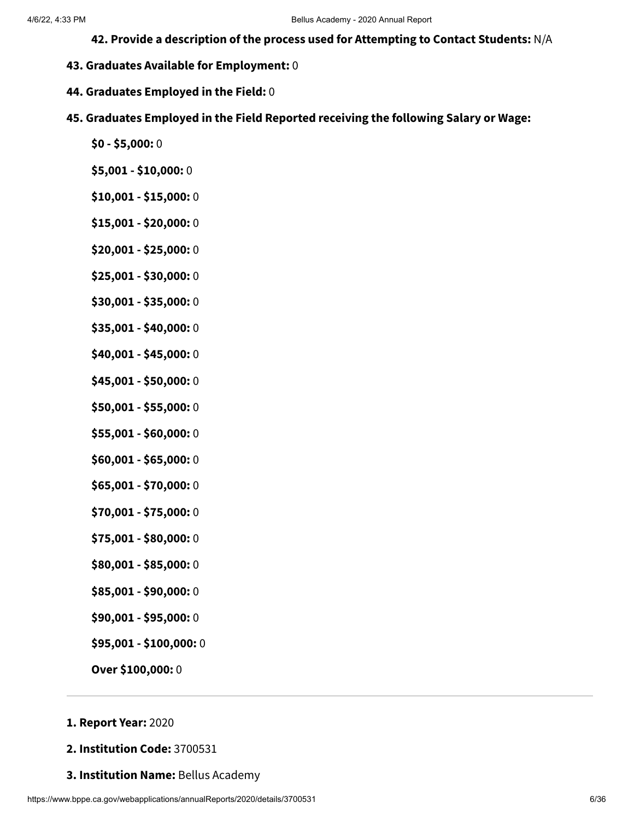- **42. Provide a description of the process used for Attempting to Contact Students:** N/A
- **43. Graduates Available for Employment:** 0
- **44. Graduates Employed in the Field:** 0
- **45. Graduates Employed in the Field Reported receiving the following Salary or Wage:**
	- **\$0 - \$5,000:** 0
	- **\$5,001 - \$10,000:** 0
	- **\$10,001 - \$15,000:** 0
	- **\$15,001 - \$20,000:** 0
	- **\$20,001 - \$25,000:** 0
	- **\$25,001 - \$30,000:** 0
	- **\$30,001 - \$35,000:** 0
	- **\$35,001 - \$40,000:** 0
	- **\$40,001 - \$45,000:** 0
	- **\$45,001 - \$50,000:** 0
	- **\$50,001 - \$55,000:** 0
	- **\$55,001 - \$60,000:** 0
	- **\$60,001 - \$65,000:** 0
	- **\$65,001 - \$70,000:** 0
	- **\$70,001 - \$75,000:** 0
	- **\$75,001 - \$80,000:** 0
	- **\$80,001 - \$85,000:** 0
	- **\$85,001 - \$90,000:** 0
	- **\$90,001 - \$95,000:** 0
	- **\$95,001 - \$100,000:** 0
	- **Over \$100,000:** 0

#### **1. Report Year:** 2020

- **2. Institution Code:** 3700531
- **3. Institution Name:** Bellus Academy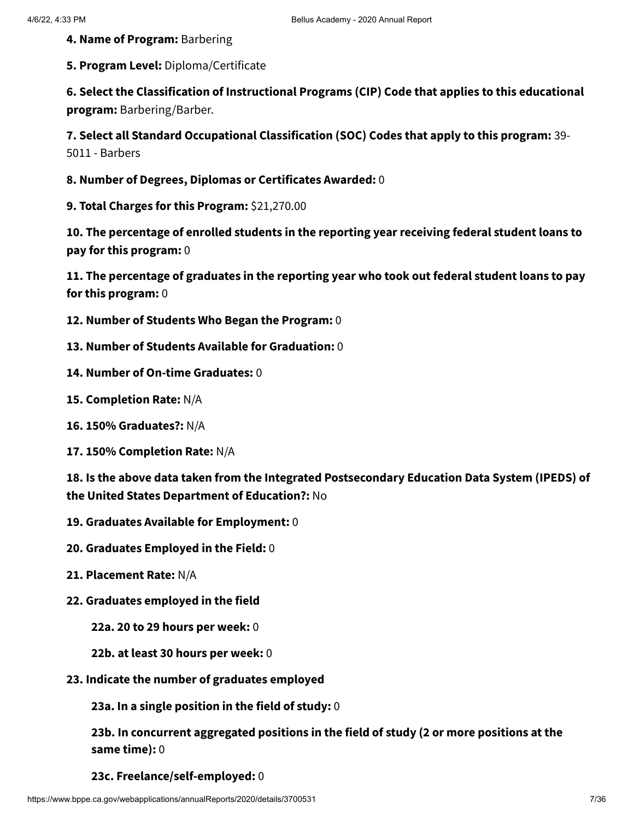**4. Name of Program:** Barbering

**5. Program Level:** Diploma/Certificate

**6. Select the Classification of Instructional Programs (CIP) Code that applies to this educational program:** Barbering/Barber.

**7. Select all Standard Occupational Classification (SOC) Codes that apply to this program:** 39- 5011 - Barbers

**8. Number of Degrees, Diplomas or Certificates Awarded:** 0

**9. Total Charges for this Program:** \$21,270.00

**10. The percentage of enrolled students in the reporting year receiving federal student loans to pay for this program:** 0

**11. The percentage of graduates in the reporting year who took out federal student loans to pay for this program:** 0

- **12. Number of Students Who Began the Program:** 0
- **13. Number of Students Available for Graduation:** 0
- **14. Number of On-time Graduates:** 0
- **15. Completion Rate:** N/A
- **16. 150% Graduates?:** N/A
- **17. 150% Completion Rate:** N/A

**18. Is the above data taken from the Integrated Postsecondary Education Data System (IPEDS) of the United States Department of Education?:** No

- **19. Graduates Available for Employment:** 0
- **20. Graduates Employed in the Field:** 0
- **21. Placement Rate:** N/A
- **22. Graduates employed in the field**

**22a. 20 to 29 hours per week:** 0

- **22b. at least 30 hours per week:** 0
- **23. Indicate the number of graduates employed**

**23a. In a single position in the field of study:** 0

**23b. In concurrent aggregated positions in the field of study (2 or more positions at the same time):** 0

**23c. Freelance/self-employed:** 0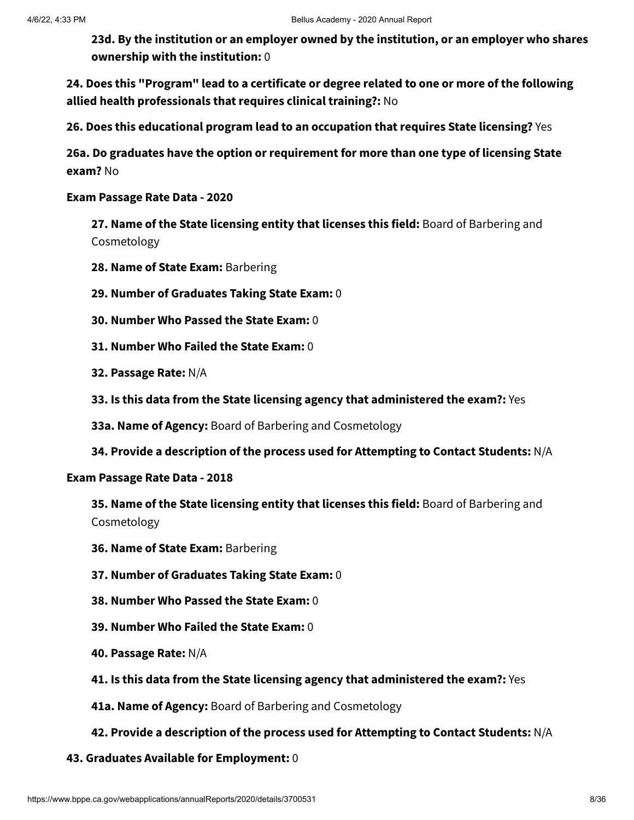**23d. By the institution or an employer owned by the institution, or an employer who shares ownership with the institution:** 0

**24. Does this "Program" lead to a certificate or degree related to one or more of the following allied health professionals that requires clinical training?:** No

**26. Does this educational program lead to an occupation that requires State licensing?** Yes

**26a. Do graduates have the option or requirement for more than one type of licensing State exam?** No

**Exam Passage Rate Data - 2020**

**27. Name of the State licensing entity that licenses this field:** Board of Barbering and Cosmetology

- **28. Name of State Exam:** Barbering
- **29. Number of Graduates Taking State Exam:** 0
- **30. Number Who Passed the State Exam:** 0
- **31. Number Who Failed the State Exam:** 0
- **32. Passage Rate:** N/A
- **33. Is this data from the State licensing agency that administered the exam?:** Yes

**33a. Name of Agency:** Board of Barbering and Cosmetology

**34. Provide a description of the process used for Attempting to Contact Students:** N/A

#### **Exam Passage Rate Data - 2018**

**35. Name of the State licensing entity that licenses this field:** Board of Barbering and Cosmetology

- **36. Name of State Exam:** Barbering
- **37. Number of Graduates Taking State Exam:** 0
- **38. Number Who Passed the State Exam:** 0
- **39. Number Who Failed the State Exam:** 0
- **40. Passage Rate:** N/A
- **41. Is this data from the State licensing agency that administered the exam?:** Yes
- **41a. Name of Agency:** Board of Barbering and Cosmetology
- **42. Provide a description of the process used for Attempting to Contact Students:** N/A
- **43. Graduates Available for Employment:** 0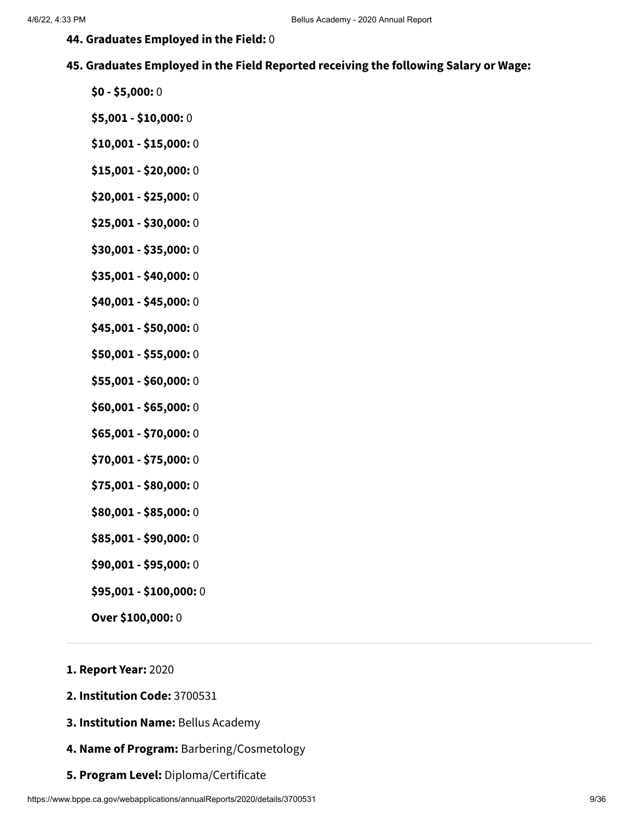- **44. Graduates Employed in the Field:** 0
- **45. Graduates Employed in the Field Reported receiving the following Salary or Wage:**
	- **\$0 - \$5,000:** 0
	- **\$5,001 - \$10,000:** 0
	- **\$10,001 - \$15,000:** 0
	- **\$15,001 - \$20,000:** 0
	- **\$20,001 - \$25,000:** 0
	- **\$25,001 - \$30,000:** 0
	- **\$30,001 - \$35,000:** 0
	- **\$35,001 - \$40,000:** 0
	- **\$40,001 - \$45,000:** 0
	- **\$45,001 - \$50,000:** 0
	- **\$50,001 - \$55,000:** 0
	- **\$55,001 - \$60,000:** 0
	- **\$60,001 - \$65,000:** 0
	- **\$65,001 - \$70,000:** 0
	- **\$70,001 - \$75,000:** 0
	- **\$75,001 - \$80,000:** 0
	- **\$80,001 - \$85,000:** 0
	- **\$85,001 - \$90,000:** 0
	- **\$90,001 - \$95,000:** 0
	- **\$95,001 - \$100,000:** 0
	- **Over \$100,000:** 0
- **1. Report Year:** 2020
- **2. Institution Code:** 3700531
- **3. Institution Name:** Bellus Academy
- **4. Name of Program:** Barbering/Cosmetology
- **5. Program Level:** Diploma/Certificate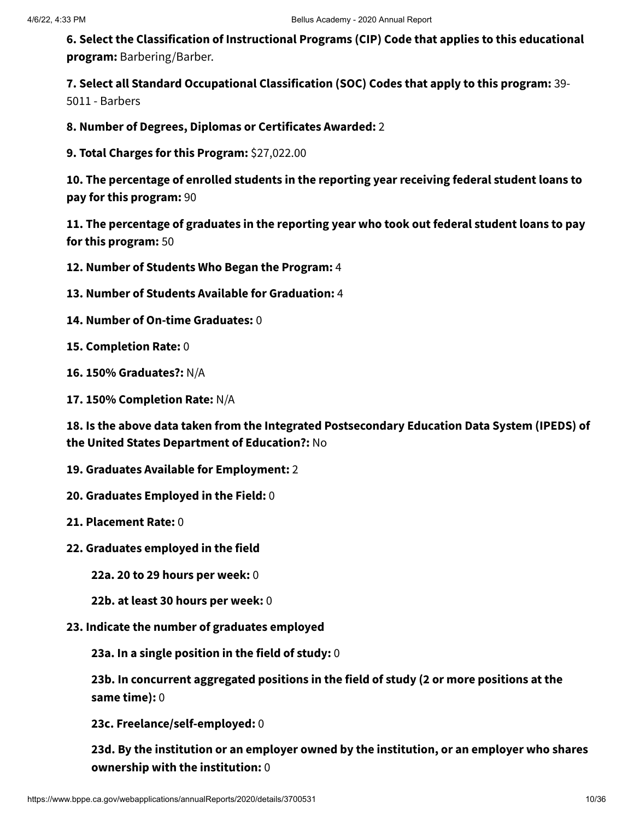**6. Select the Classification of Instructional Programs (CIP) Code that applies to this educational program:** Barbering/Barber.

**7. Select all Standard Occupational Classification (SOC) Codes that apply to this program:** 39- 5011 - Barbers

**8. Number of Degrees, Diplomas or Certificates Awarded:** 2

**9. Total Charges for this Program:** \$27,022.00

**10. The percentage of enrolled students in the reporting year receiving federal student loans to pay for this program:** 90

**11. The percentage of graduates in the reporting year who took out federal student loans to pay for this program:** 50

**12. Number of Students Who Began the Program:** 4

- **13. Number of Students Available for Graduation:** 4
- **14. Number of On-time Graduates:** 0
- **15. Completion Rate:** 0
- **16. 150% Graduates?:** N/A
- **17. 150% Completion Rate:** N/A

**18. Is the above data taken from the Integrated Postsecondary Education Data System (IPEDS) of the United States Department of Education?:** No

- **19. Graduates Available for Employment:** 2
- **20. Graduates Employed in the Field:** 0
- **21. Placement Rate:** 0
- **22. Graduates employed in the field**
	- **22a. 20 to 29 hours per week:** 0
	- **22b. at least 30 hours per week:** 0
- **23. Indicate the number of graduates employed**

**23a. In a single position in the field of study:** 0

**23b. In concurrent aggregated positions in the field of study (2 or more positions at the same time):** 0

**23c. Freelance/self-employed:** 0

**23d. By the institution or an employer owned by the institution, or an employer who shares ownership with the institution:** 0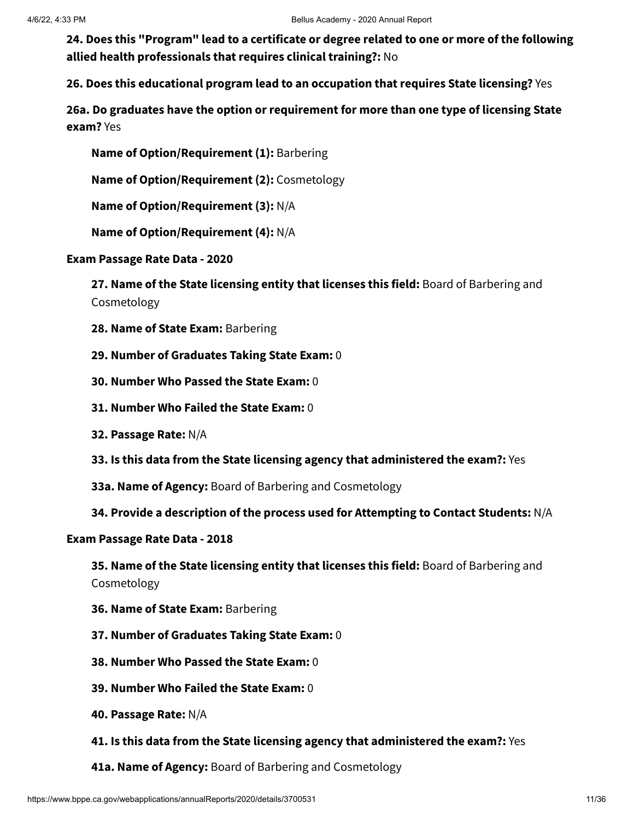**24. Does this "Program" lead to a certificate or degree related to one or more of the following allied health professionals that requires clinical training?:** No

**26. Does this educational program lead to an occupation that requires State licensing?** Yes

**26a. Do graduates have the option or requirement for more than one type of licensing State exam?** Yes

**Name of Option/Requirement (1):** Barbering

**Name of Option/Requirement (2):** Cosmetology

**Name of Option/Requirement (3):** N/A

**Name of Option/Requirement (4):** N/A

**Exam Passage Rate Data - 2020**

**27. Name of the State licensing entity that licenses this field:** Board of Barbering and Cosmetology

- **28. Name of State Exam:** Barbering
- **29. Number of Graduates Taking State Exam:** 0
- **30. Number Who Passed the State Exam:** 0
- **31. Number Who Failed the State Exam:** 0
- **32. Passage Rate:** N/A
- **33. Is this data from the State licensing agency that administered the exam?:** Yes
- **33a. Name of Agency:** Board of Barbering and Cosmetology
- **34. Provide a description of the process used for Attempting to Contact Students:** N/A

#### **Exam Passage Rate Data - 2018**

**35. Name of the State licensing entity that licenses this field:** Board of Barbering and Cosmetology

- **36. Name of State Exam:** Barbering
- **37. Number of Graduates Taking State Exam:** 0
- **38. Number Who Passed the State Exam:** 0
- **39. Number Who Failed the State Exam:** 0
- **40. Passage Rate:** N/A
- **41. Is this data from the State licensing agency that administered the exam?:** Yes
- **41a. Name of Agency:** Board of Barbering and Cosmetology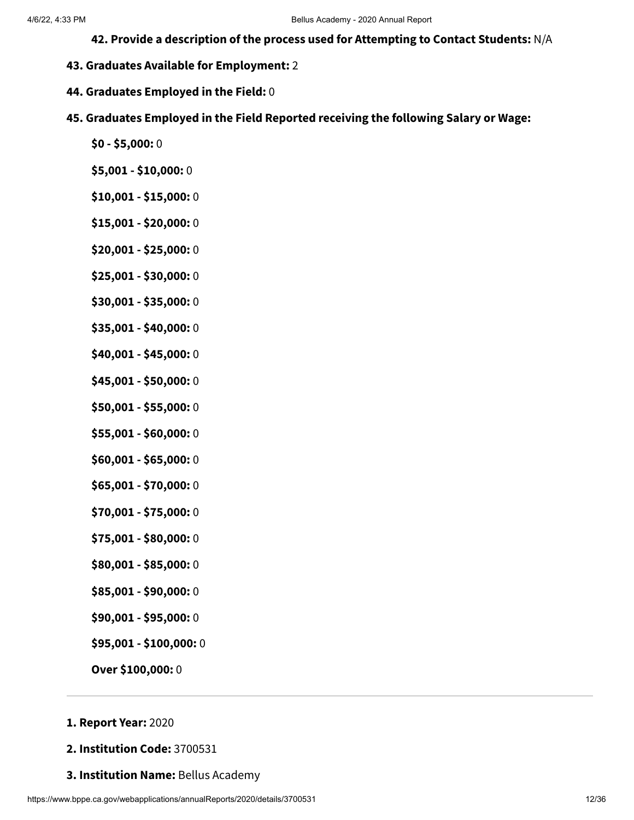- **42. Provide a description of the process used for Attempting to Contact Students:** N/A
- **43. Graduates Available for Employment:** 2
- **44. Graduates Employed in the Field:** 0
- **45. Graduates Employed in the Field Reported receiving the following Salary or Wage:**
	- **\$0 - \$5,000:** 0
	- **\$5,001 - \$10,000:** 0
	- **\$10,001 - \$15,000:** 0
	- **\$15,001 - \$20,000:** 0
	- **\$20,001 - \$25,000:** 0
	- **\$25,001 - \$30,000:** 0
	- **\$30,001 - \$35,000:** 0
	- **\$35,001 - \$40,000:** 0
	- **\$40,001 - \$45,000:** 0
	- **\$45,001 - \$50,000:** 0
	- **\$50,001 - \$55,000:** 0
	- **\$55,001 - \$60,000:** 0
	- **\$60,001 - \$65,000:** 0
	- **\$65,001 - \$70,000:** 0
	- **\$70,001 - \$75,000:** 0
	- **\$75,001 - \$80,000:** 0
	- **\$80,001 - \$85,000:** 0
	- **\$85,001 - \$90,000:** 0
	- **\$90,001 - \$95,000:** 0
	- **\$95,001 - \$100,000:** 0
	- **Over \$100,000:** 0

### **1. Report Year:** 2020

- **2. Institution Code:** 3700531
- **3. Institution Name:** Bellus Academy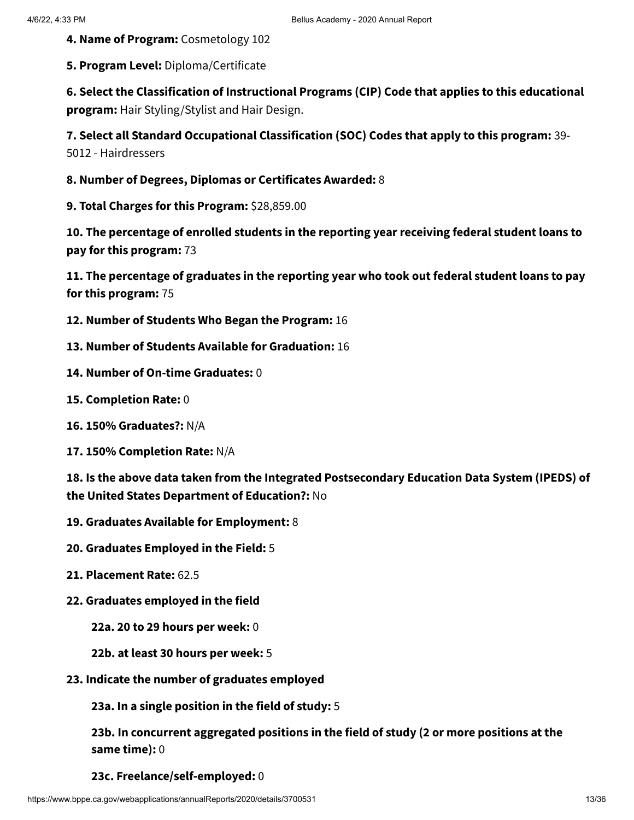- **4. Name of Program:** Cosmetology 102
- **5. Program Level:** Diploma/Certificate

**6. Select the Classification of Instructional Programs (CIP) Code that applies to this educational program:** Hair Styling/Stylist and Hair Design.

**7. Select all Standard Occupational Classification (SOC) Codes that apply to this program:** 39- 5012 - Hairdressers

- **8. Number of Degrees, Diplomas or Certificates Awarded:** 8
- **9. Total Charges for this Program:** \$28,859.00

**10. The percentage of enrolled students in the reporting year receiving federal student loans to pay for this program:** 73

**11. The percentage of graduates in the reporting year who took out federal student loans to pay for this program:** 75

- **12. Number of Students Who Began the Program:** 16
- **13. Number of Students Available for Graduation:** 16
- **14. Number of On-time Graduates:** 0
- **15. Completion Rate:** 0
- **16. 150% Graduates?:** N/A
- **17. 150% Completion Rate:** N/A

**18. Is the above data taken from the Integrated Postsecondary Education Data System (IPEDS) of the United States Department of Education?:** No

- **19. Graduates Available for Employment:** 8
- **20. Graduates Employed in the Field:** 5
- **21. Placement Rate:** 62.5
- **22. Graduates employed in the field**
	- **22a. 20 to 29 hours per week:** 0
	- **22b. at least 30 hours per week:** 5
- **23. Indicate the number of graduates employed**

**23a. In a single position in the field of study:** 5

**23b. In concurrent aggregated positions in the field of study (2 or more positions at the same time):** 0

**23c. Freelance/self-employed:** 0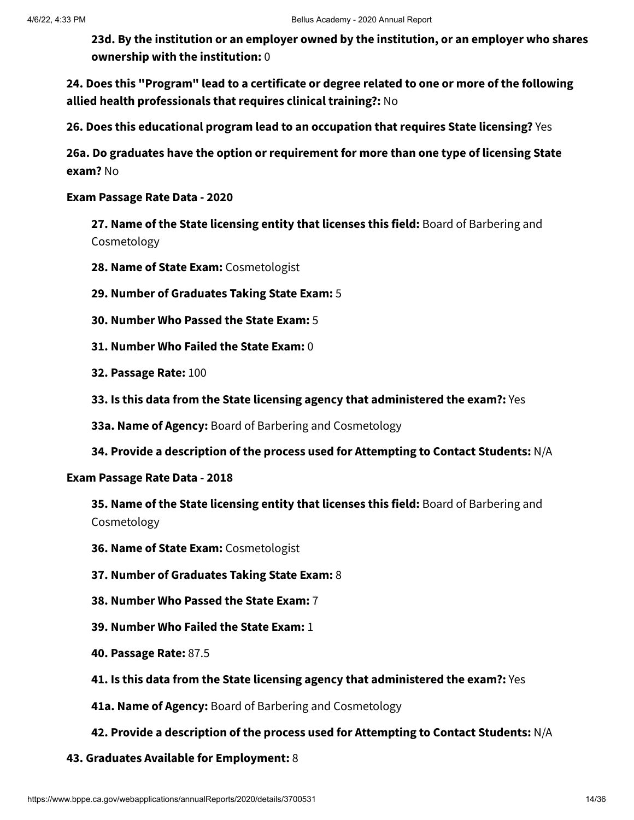**23d. By the institution or an employer owned by the institution, or an employer who shares ownership with the institution:** 0

**24. Does this "Program" lead to a certificate or degree related to one or more of the following allied health professionals that requires clinical training?:** No

**26. Does this educational program lead to an occupation that requires State licensing?** Yes

**26a. Do graduates have the option or requirement for more than one type of licensing State exam?** No

**Exam Passage Rate Data - 2020**

**27. Name of the State licensing entity that licenses this field:** Board of Barbering and Cosmetology

- **28. Name of State Exam:** Cosmetologist
- **29. Number of Graduates Taking State Exam:** 5
- **30. Number Who Passed the State Exam:** 5
- **31. Number Who Failed the State Exam:** 0
- **32. Passage Rate:** 100
- **33. Is this data from the State licensing agency that administered the exam?:** Yes

**33a. Name of Agency:** Board of Barbering and Cosmetology

**34. Provide a description of the process used for Attempting to Contact Students:** N/A

#### **Exam Passage Rate Data - 2018**

**35. Name of the State licensing entity that licenses this field:** Board of Barbering and Cosmetology

- **36. Name of State Exam:** Cosmetologist
- **37. Number of Graduates Taking State Exam:** 8
- **38. Number Who Passed the State Exam:** 7
- **39. Number Who Failed the State Exam:** 1
- **40. Passage Rate:** 87.5
- **41. Is this data from the State licensing agency that administered the exam?:** Yes
- **41a. Name of Agency:** Board of Barbering and Cosmetology
- **42. Provide a description of the process used for Attempting to Contact Students:** N/A
- **43. Graduates Available for Employment:** 8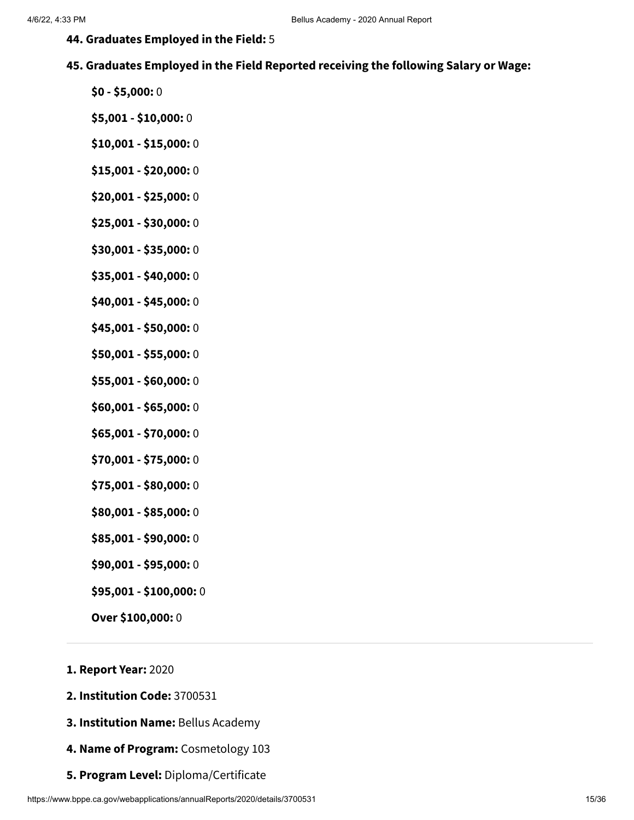- **44. Graduates Employed in the Field:** 5
- **45. Graduates Employed in the Field Reported receiving the following Salary or Wage:**
	- **\$0 - \$5,000:** 0
	- **\$5,001 - \$10,000:** 0
	- **\$10,001 - \$15,000:** 0
	- **\$15,001 - \$20,000:** 0
	- **\$20,001 - \$25,000:** 0
	- **\$25,001 - \$30,000:** 0
	- **\$30,001 - \$35,000:** 0
	- **\$35,001 - \$40,000:** 0
	- **\$40,001 - \$45,000:** 0
	- **\$45,001 - \$50,000:** 0
	- **\$50,001 - \$55,000:** 0
	- **\$55,001 - \$60,000:** 0
	- **\$60,001 - \$65,000:** 0
	- **\$65,001 - \$70,000:** 0
	- **\$70,001 - \$75,000:** 0
	- **\$75,001 - \$80,000:** 0
	- **\$80,001 - \$85,000:** 0
	- **\$85,001 - \$90,000:** 0
	- **\$90,001 - \$95,000:** 0
	- **\$95,001 - \$100,000:** 0
	- **Over \$100,000:** 0
- **1. Report Year:** 2020
- **2. Institution Code:** 3700531
- **3. Institution Name:** Bellus Academy
- **4. Name of Program:** Cosmetology 103
- **5. Program Level:** Diploma/Certificate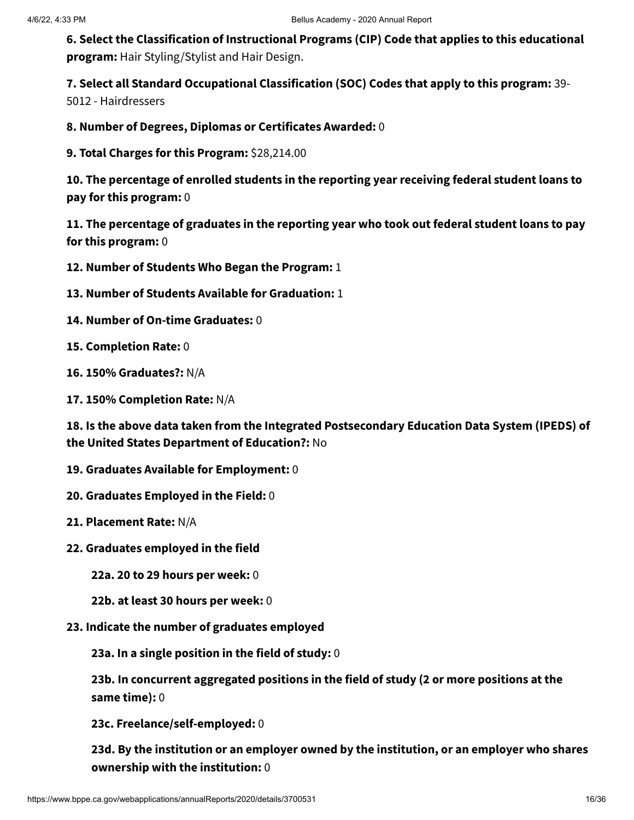**6. Select the Classification of Instructional Programs (CIP) Code that applies to this educational program:** Hair Styling/Stylist and Hair Design.

**7. Select all Standard Occupational Classification (SOC) Codes that apply to this program:** 39-

5012 - Hairdressers

**8. Number of Degrees, Diplomas or Certificates Awarded:** 0

**9. Total Charges for this Program:** \$28,214.00

**10. The percentage of enrolled students in the reporting year receiving federal student loans to pay for this program:** 0

**11. The percentage of graduates in the reporting year who took out federal student loans to pay for this program:** 0

**12. Number of Students Who Began the Program:** 1

- **13. Number of Students Available for Graduation:** 1
- **14. Number of On-time Graduates:** 0
- **15. Completion Rate:** 0
- **16. 150% Graduates?:** N/A
- **17. 150% Completion Rate:** N/A

**18. Is the above data taken from the Integrated Postsecondary Education Data System (IPEDS) of the United States Department of Education?:** No

- **19. Graduates Available for Employment:** 0
- **20. Graduates Employed in the Field:** 0
- **21. Placement Rate:** N/A
- **22. Graduates employed in the field**
	- **22a. 20 to 29 hours per week:** 0
	- **22b. at least 30 hours per week:** 0
- **23. Indicate the number of graduates employed**

**23a. In a single position in the field of study:** 0

**23b. In concurrent aggregated positions in the field of study (2 or more positions at the same time):** 0

**23c. Freelance/self-employed:** 0

**23d. By the institution or an employer owned by the institution, or an employer who shares ownership with the institution:** 0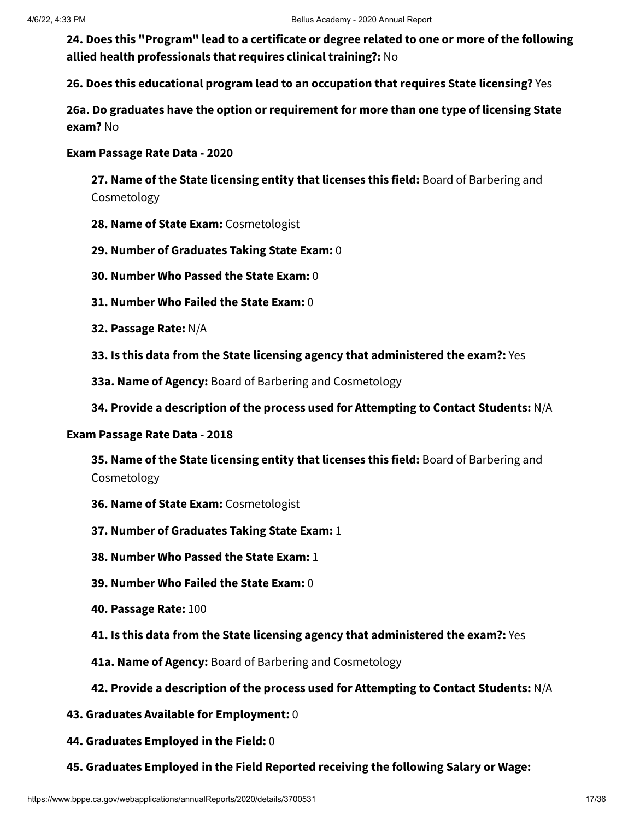**24. Does this "Program" lead to a certificate or degree related to one or more of the following allied health professionals that requires clinical training?:** No

**26. Does this educational program lead to an occupation that requires State licensing?** Yes

**26a. Do graduates have the option or requirement for more than one type of licensing State exam?** No

#### **Exam Passage Rate Data - 2020**

**27. Name of the State licensing entity that licenses this field:** Board of Barbering and Cosmetology

- **28. Name of State Exam:** Cosmetologist
- **29. Number of Graduates Taking State Exam:** 0
- **30. Number Who Passed the State Exam:** 0
- **31. Number Who Failed the State Exam:** 0
- **32. Passage Rate:** N/A
- **33. Is this data from the State licensing agency that administered the exam?:** Yes
- **33a. Name of Agency:** Board of Barbering and Cosmetology
- **34. Provide a description of the process used for Attempting to Contact Students:** N/A

#### **Exam Passage Rate Data - 2018**

**35. Name of the State licensing entity that licenses this field:** Board of Barbering and Cosmetology

- **36. Name of State Exam:** Cosmetologist
- **37. Number of Graduates Taking State Exam:** 1
- **38. Number Who Passed the State Exam:** 1
- **39. Number Who Failed the State Exam:** 0
- **40. Passage Rate:** 100
- **41. Is this data from the State licensing agency that administered the exam?:** Yes
- **41a. Name of Agency:** Board of Barbering and Cosmetology

#### **42. Provide a description of the process used for Attempting to Contact Students:** N/A

- **43. Graduates Available for Employment:** 0
- **44. Graduates Employed in the Field:** 0
- **45. Graduates Employed in the Field Reported receiving the following Salary or Wage:**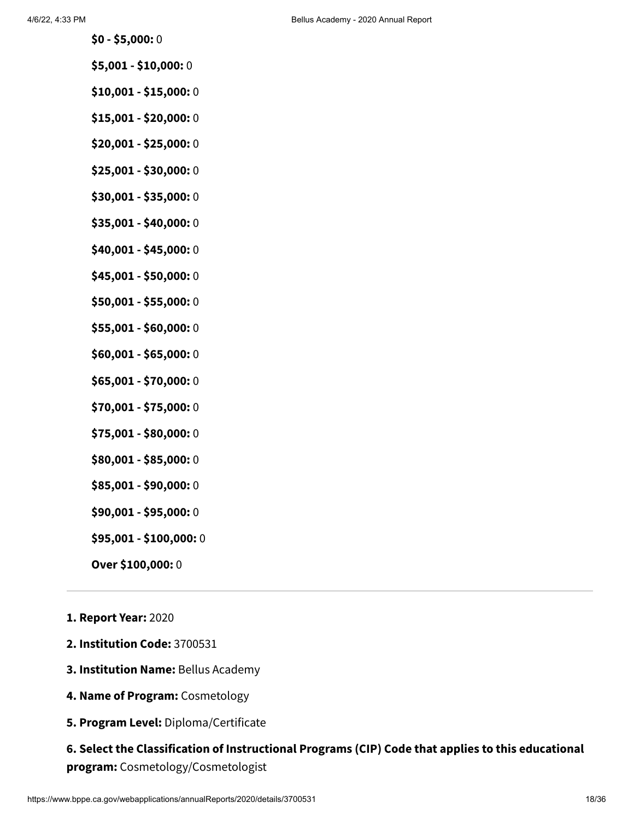- **\$0 - \$5,000:** 0
- **\$5,001 - \$10,000:** 0
- **\$10,001 - \$15,000:** 0
- **\$15,001 - \$20,000:** 0
- **\$20,001 - \$25,000:** 0
- **\$25,001 - \$30,000:** 0
- **\$30,001 - \$35,000:** 0
- **\$35,001 - \$40,000:** 0
- **\$40,001 - \$45,000:** 0
- **\$45,001 - \$50,000:** 0
- **\$50,001 - \$55,000:** 0
- **\$55,001 - \$60,000:** 0
- **\$60,001 - \$65,000:** 0
- **\$65,001 - \$70,000:** 0
- **\$70,001 - \$75,000:** 0
- **\$75,001 - \$80,000:** 0
- **\$80,001 - \$85,000:** 0
- **\$85,001 - \$90,000:** 0
- **\$90,001 - \$95,000:** 0
- **\$95,001 - \$100,000:** 0
- **Over \$100,000:** 0
- **1. Report Year:** 2020
- **2. Institution Code:** 3700531
- **3. Institution Name:** Bellus Academy
- **4. Name of Program:** Cosmetology
- **5. Program Level:** Diploma/Certificate

# **6. Select the Classification of Instructional Programs (CIP) Code that applies to this educational program:** Cosmetology/Cosmetologist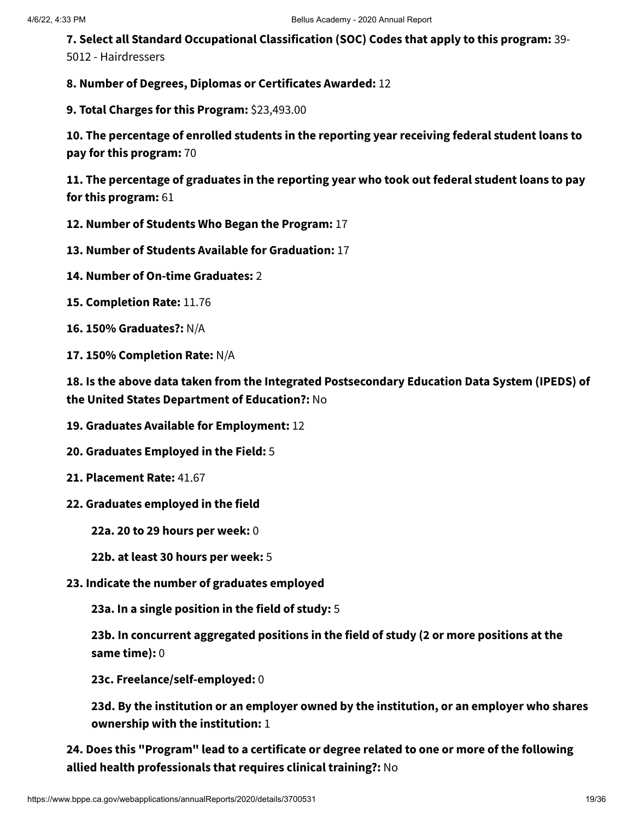**7. Select all Standard Occupational Classification (SOC) Codes that apply to this program:** 39- 5012 - Hairdressers

**8. Number of Degrees, Diplomas or Certificates Awarded:** 12

**9. Total Charges for this Program:** \$23,493.00

**10. The percentage of enrolled students in the reporting year receiving federal student loans to pay for this program:** 70

**11. The percentage of graduates in the reporting year who took out federal student loans to pay for this program:** 61

- **12. Number of Students Who Began the Program:** 17
- **13. Number of Students Available for Graduation:** 17
- **14. Number of On-time Graduates:** 2
- **15. Completion Rate:** 11.76
- **16. 150% Graduates?:** N/A
- **17. 150% Completion Rate:** N/A

**18. Is the above data taken from the Integrated Postsecondary Education Data System (IPEDS) of the United States Department of Education?:** No

- **19. Graduates Available for Employment:** 12
- **20. Graduates Employed in the Field:** 5
- **21. Placement Rate:** 41.67
- **22. Graduates employed in the field**
	- **22a. 20 to 29 hours per week:** 0
	- **22b. at least 30 hours per week:** 5
- **23. Indicate the number of graduates employed**

**23a. In a single position in the field of study:** 5

**23b. In concurrent aggregated positions in the field of study (2 or more positions at the same time):** 0

**23c. Freelance/self-employed:** 0

**23d. By the institution or an employer owned by the institution, or an employer who shares ownership with the institution:** 1

**24. Does this "Program" lead to a certificate or degree related to one or more of the following allied health professionals that requires clinical training?:** No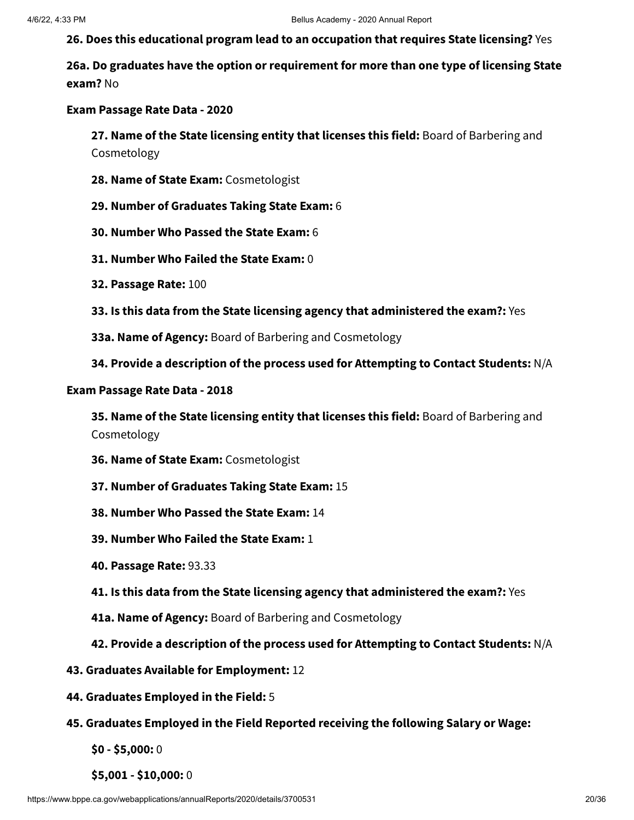**26. Does this educational program lead to an occupation that requires State licensing?** Yes

**26a. Do graduates have the option or requirement for more than one type of licensing State exam?** No

#### **Exam Passage Rate Data - 2020**

**27. Name of the State licensing entity that licenses this field:** Board of Barbering and Cosmetology

- **28. Name of State Exam:** Cosmetologist
- **29. Number of Graduates Taking State Exam:** 6
- **30. Number Who Passed the State Exam:** 6
- **31. Number Who Failed the State Exam:** 0
- **32. Passage Rate:** 100
- **33. Is this data from the State licensing agency that administered the exam?:** Yes
- **33a. Name of Agency:** Board of Barbering and Cosmetology
- **34. Provide a description of the process used for Attempting to Contact Students:** N/A

#### **Exam Passage Rate Data - 2018**

**35. Name of the State licensing entity that licenses this field:** Board of Barbering and Cosmetology

- **36. Name of State Exam:** Cosmetologist
- **37. Number of Graduates Taking State Exam:** 15
- **38. Number Who Passed the State Exam:** 14
- **39. Number Who Failed the State Exam:** 1
- **40. Passage Rate:** 93.33
- **41. Is this data from the State licensing agency that administered the exam?:** Yes
- **41a. Name of Agency:** Board of Barbering and Cosmetology
- **42. Provide a description of the process used for Attempting to Contact Students:** N/A
- **43. Graduates Available for Employment:** 12
- **44. Graduates Employed in the Field:** 5
- **45. Graduates Employed in the Field Reported receiving the following Salary or Wage:**
	- **\$0 - \$5,000:** 0
	- **\$5,001 - \$10,000:** 0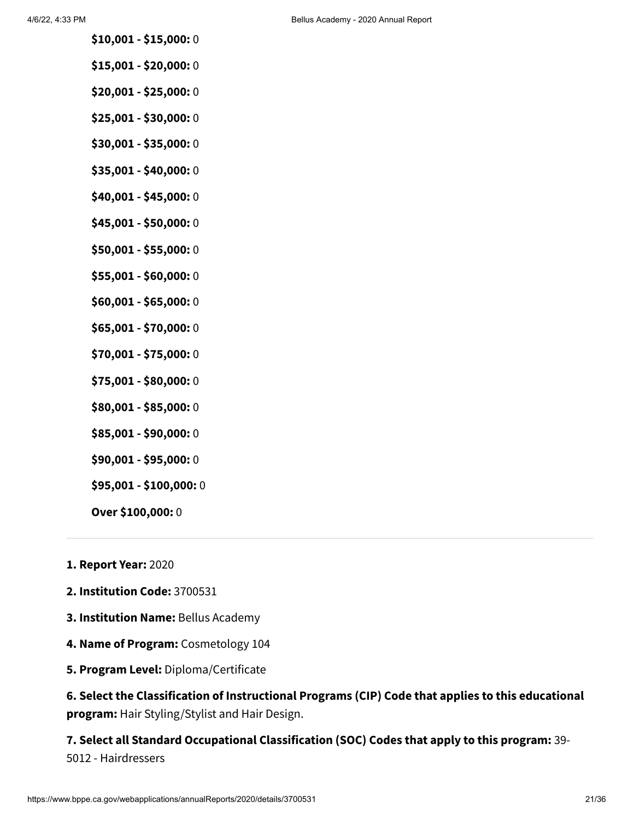- **\$10,001 - \$15,000:** 0
- **\$15,001 - \$20,000:** 0
- **\$20,001 - \$25,000:** 0
- **\$25,001 - \$30,000:** 0
- **\$30,001 - \$35,000:** 0
- **\$35,001 - \$40,000:** 0
- **\$40,001 - \$45,000:** 0
- **\$45,001 - \$50,000:** 0
- **\$50,001 - \$55,000:** 0
- **\$55,001 - \$60,000:** 0
- **\$60,001 - \$65,000:** 0
- **\$65,001 - \$70,000:** 0
- **\$70,001 - \$75,000:** 0
- **\$75,001 - \$80,000:** 0
- **\$80,001 - \$85,000:** 0
- **\$85,001 - \$90,000:** 0
- **\$90,001 - \$95,000:** 0
- **\$95,001 - \$100,000:** 0
- **Over \$100,000:** 0
- **1. Report Year:** 2020
- **2. Institution Code:** 3700531
- **3. Institution Name:** Bellus Academy
- **4. Name of Program:** Cosmetology 104
- **5. Program Level:** Diploma/Certificate

**6. Select the Classification of Instructional Programs (CIP) Code that applies to this educational program:** Hair Styling/Stylist and Hair Design.

**7. Select all Standard Occupational Classification (SOC) Codes that apply to this program:** 39- 5012 - Hairdressers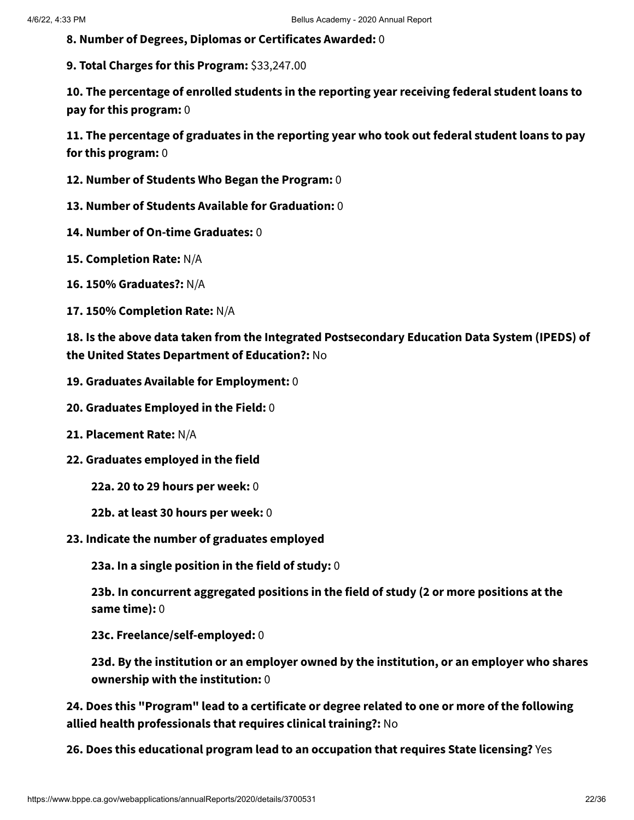**8. Number of Degrees, Diplomas or Certificates Awarded:** 0

**9. Total Charges for this Program:** \$33,247.00

**10. The percentage of enrolled students in the reporting year receiving federal student loans to pay for this program:** 0

**11. The percentage of graduates in the reporting year who took out federal student loans to pay for this program:** 0

- **12. Number of Students Who Began the Program:** 0
- **13. Number of Students Available for Graduation:** 0
- **14. Number of On-time Graduates:** 0
- **15. Completion Rate:** N/A
- **16. 150% Graduates?:** N/A
- **17. 150% Completion Rate:** N/A

**18. Is the above data taken from the Integrated Postsecondary Education Data System (IPEDS) of the United States Department of Education?:** No

- **19. Graduates Available for Employment:** 0
- **20. Graduates Employed in the Field:** 0
- **21. Placement Rate:** N/A
- **22. Graduates employed in the field**
	- **22a. 20 to 29 hours per week:** 0
	- **22b. at least 30 hours per week:** 0
- **23. Indicate the number of graduates employed**

**23a. In a single position in the field of study:** 0

**23b. In concurrent aggregated positions in the field of study (2 or more positions at the same time):** 0

**23c. Freelance/self-employed:** 0

**23d. By the institution or an employer owned by the institution, or an employer who shares ownership with the institution:** 0

**24. Does this "Program" lead to a certificate or degree related to one or more of the following allied health professionals that requires clinical training?:** No

**26. Does this educational program lead to an occupation that requires State licensing?** Yes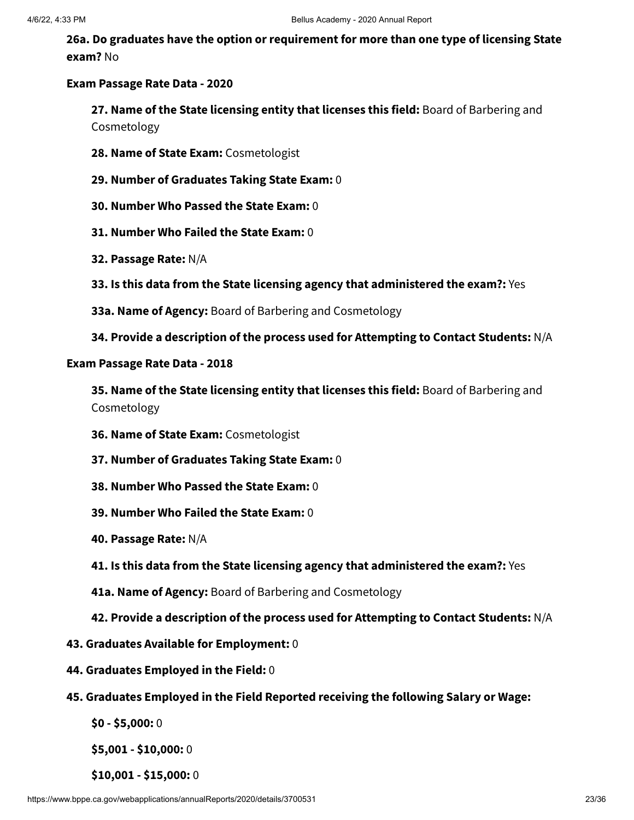**26a. Do graduates have the option or requirement for more than one type of licensing State exam?** No

#### **Exam Passage Rate Data - 2020**

**27. Name of the State licensing entity that licenses this field:** Board of Barbering and Cosmetology

- **28. Name of State Exam:** Cosmetologist
- **29. Number of Graduates Taking State Exam:** 0
- **30. Number Who Passed the State Exam:** 0
- **31. Number Who Failed the State Exam:** 0
- **32. Passage Rate:** N/A
- **33. Is this data from the State licensing agency that administered the exam?:** Yes
- **33a. Name of Agency:** Board of Barbering and Cosmetology
- **34. Provide a description of the process used for Attempting to Contact Students:** N/A

#### **Exam Passage Rate Data - 2018**

**35. Name of the State licensing entity that licenses this field:** Board of Barbering and Cosmetology

- **36. Name of State Exam:** Cosmetologist
- **37. Number of Graduates Taking State Exam:** 0
- **38. Number Who Passed the State Exam:** 0
- **39. Number Who Failed the State Exam:** 0
- **40. Passage Rate:** N/A
- **41. Is this data from the State licensing agency that administered the exam?:** Yes
- **41a. Name of Agency:** Board of Barbering and Cosmetology
- **42. Provide a description of the process used for Attempting to Contact Students:** N/A
- **43. Graduates Available for Employment:** 0
- **44. Graduates Employed in the Field:** 0
- **45. Graduates Employed in the Field Reported receiving the following Salary or Wage:**
	- **\$0 - \$5,000:** 0

**\$5,001 - \$10,000:** 0

**\$10,001 - \$15,000:** 0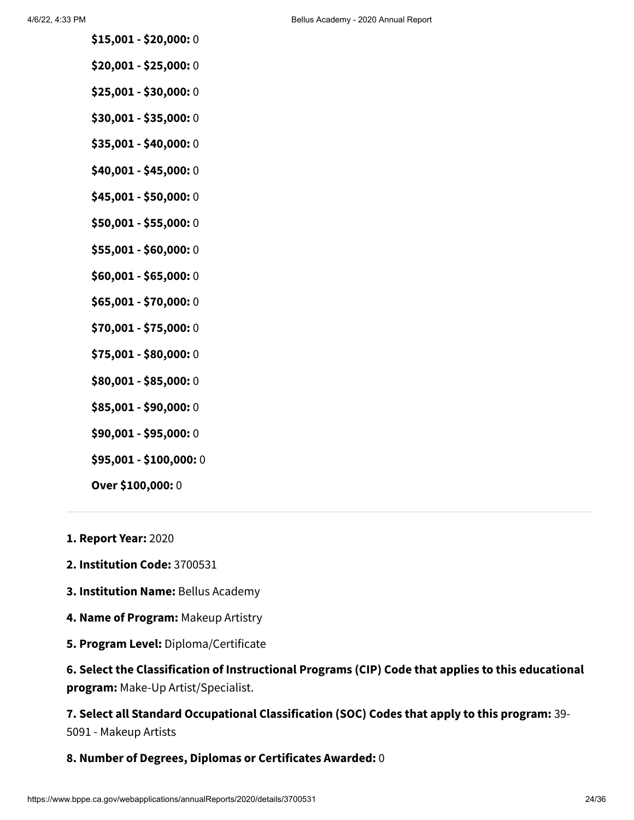- **\$15,001 - \$20,000:** 0
- **\$20,001 - \$25,000:** 0
- **\$25,001 - \$30,000:** 0
- **\$30,001 - \$35,000:** 0
- **\$35,001 - \$40,000:** 0
- **\$40,001 - \$45,000:** 0
- **\$45,001 - \$50,000:** 0
- **\$50,001 - \$55,000:** 0
- **\$55,001 - \$60,000:** 0
- **\$60,001 - \$65,000:** 0
- **\$65,001 - \$70,000:** 0
- **\$70,001 - \$75,000:** 0
- **\$75,001 - \$80,000:** 0
- **\$80,001 - \$85,000:** 0
- **\$85,001 - \$90,000:** 0
- **\$90,001 - \$95,000:** 0
- **\$95,001 - \$100,000:** 0
- **Over \$100,000:** 0
- **1. Report Year:** 2020
- **2. Institution Code:** 3700531
- **3. Institution Name:** Bellus Academy
- **4. Name of Program:** Makeup Artistry
- **5. Program Level:** Diploma/Certificate

**6. Select the Classification of Instructional Programs (CIP) Code that applies to this educational program:** Make-Up Artist/Specialist.

**7. Select all Standard Occupational Classification (SOC) Codes that apply to this program:** 39- 5091 - Makeup Artists

#### **8. Number of Degrees, Diplomas or Certificates Awarded:** 0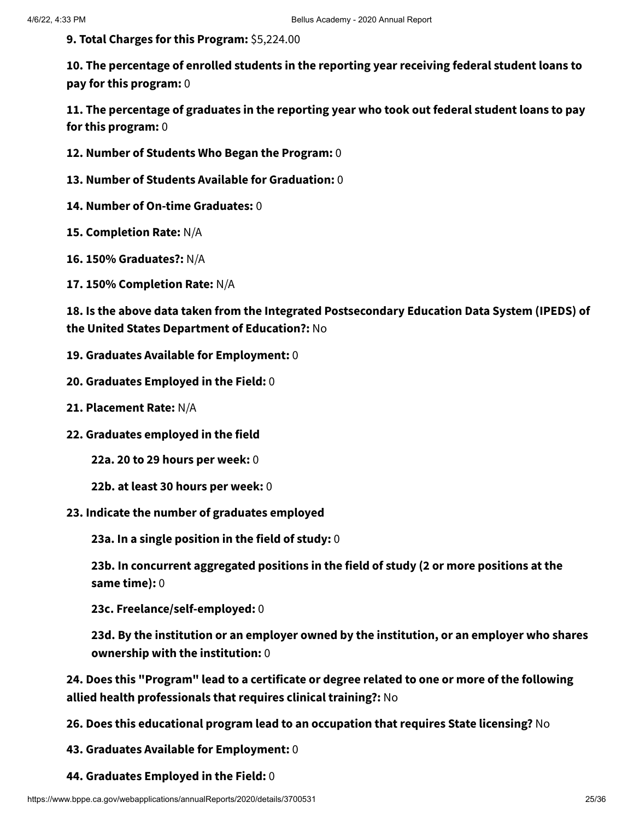**9. Total Charges for this Program:** \$5,224.00

**10. The percentage of enrolled students in the reporting year receiving federal student loans to pay for this program:** 0

**11. The percentage of graduates in the reporting year who took out federal student loans to pay for this program:** 0

- **12. Number of Students Who Began the Program:** 0
- **13. Number of Students Available for Graduation:** 0
- **14. Number of On-time Graduates:** 0
- **15. Completion Rate:** N/A
- **16. 150% Graduates?:** N/A
- **17. 150% Completion Rate:** N/A

**18. Is the above data taken from the Integrated Postsecondary Education Data System (IPEDS) of the United States Department of Education?:** No

- **19. Graduates Available for Employment:** 0
- **20. Graduates Employed in the Field:** 0
- **21. Placement Rate:** N/A
- **22. Graduates employed in the field**

**22a. 20 to 29 hours per week:** 0

- **22b. at least 30 hours per week:** 0
- **23. Indicate the number of graduates employed**

**23a. In a single position in the field of study:** 0

**23b. In concurrent aggregated positions in the field of study (2 or more positions at the same time):** 0

**23c. Freelance/self-employed:** 0

**23d. By the institution or an employer owned by the institution, or an employer who shares ownership with the institution:** 0

**24. Does this "Program" lead to a certificate or degree related to one or more of the following allied health professionals that requires clinical training?:** No

**26. Does this educational program lead to an occupation that requires State licensing?** No

**43. Graduates Available for Employment:** 0

**44. Graduates Employed in the Field:** 0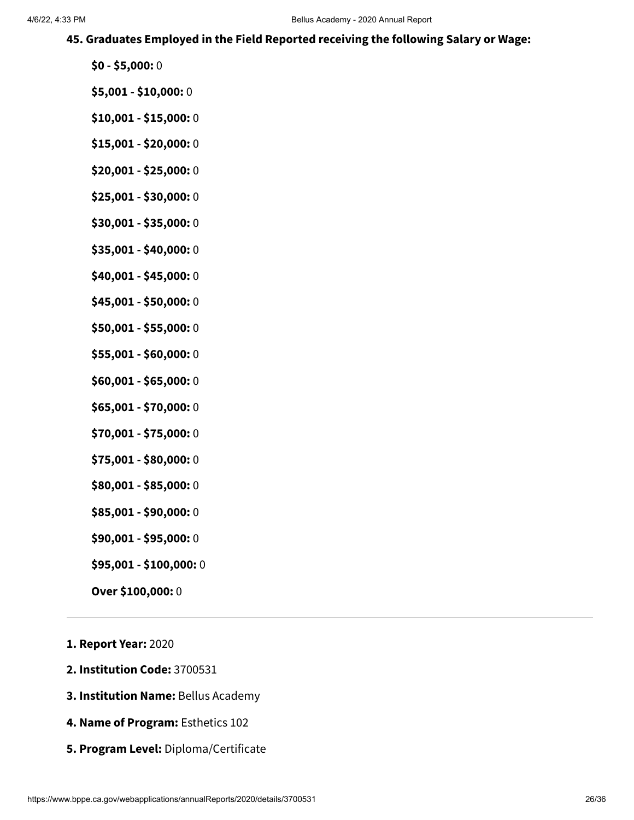#### **45. Graduates Employed in the Field Reported receiving the following Salary or Wage:**

- **\$0 - \$5,000:** 0
- **\$5,001 - \$10,000:** 0
- **\$10,001 - \$15,000:** 0
- **\$15,001 - \$20,000:** 0
- **\$20,001 - \$25,000:** 0
- **\$25,001 - \$30,000:** 0
- **\$30,001 - \$35,000:** 0
- **\$35,001 - \$40,000:** 0
- **\$40,001 - \$45,000:** 0
- **\$45,001 - \$50,000:** 0
- **\$50,001 - \$55,000:** 0
- **\$55,001 - \$60,000:** 0
- **\$60,001 - \$65,000:** 0
- **\$65,001 - \$70,000:** 0
- **\$70,001 - \$75,000:** 0
- **\$75,001 - \$80,000:** 0
- **\$80,001 - \$85,000:** 0
- **\$85,001 - \$90,000:** 0
- **\$90,001 - \$95,000:** 0
- **\$95,001 - \$100,000:** 0
- **Over \$100,000:** 0
- **1. Report Year:** 2020
- **2. Institution Code:** 3700531
- **3. Institution Name:** Bellus Academy
- **4. Name of Program:** Esthetics 102
- **5. Program Level:** Diploma/Certificate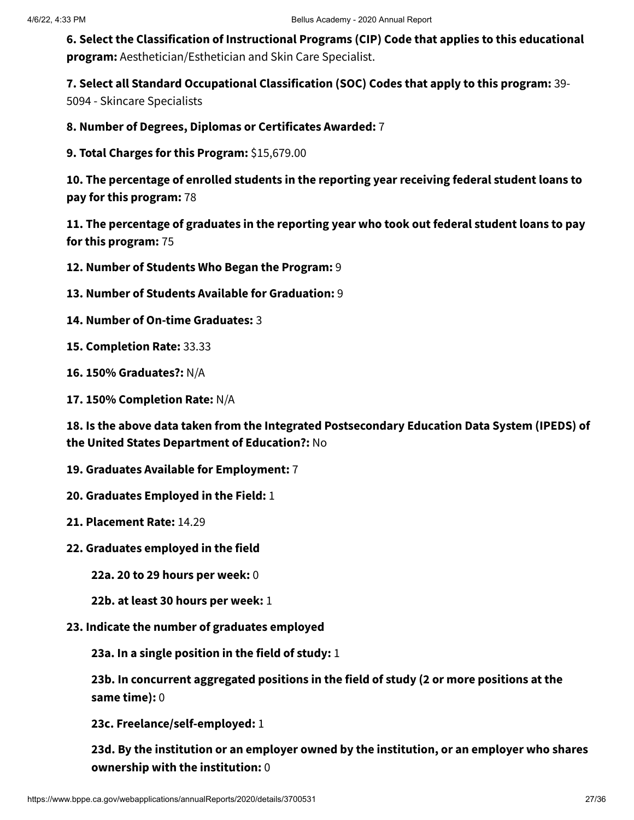**6. Select the Classification of Instructional Programs (CIP) Code that applies to this educational program:** Aesthetician/Esthetician and Skin Care Specialist.

**7. Select all Standard Occupational Classification (SOC) Codes that apply to this program:** 39-

5094 - Skincare Specialists

**8. Number of Degrees, Diplomas or Certificates Awarded:** 7

**9. Total Charges for this Program:** \$15,679.00

**10. The percentage of enrolled students in the reporting year receiving federal student loans to pay for this program:** 78

**11. The percentage of graduates in the reporting year who took out federal student loans to pay for this program:** 75

- **12. Number of Students Who Began the Program:** 9
- **13. Number of Students Available for Graduation:** 9
- **14. Number of On-time Graduates:** 3
- **15. Completion Rate:** 33.33
- **16. 150% Graduates?:** N/A
- **17. 150% Completion Rate:** N/A

**18. Is the above data taken from the Integrated Postsecondary Education Data System (IPEDS) of the United States Department of Education?:** No

- **19. Graduates Available for Employment:** 7
- **20. Graduates Employed in the Field:** 1
- **21. Placement Rate:** 14.29
- **22. Graduates employed in the field**
	- **22a. 20 to 29 hours per week:** 0
	- **22b. at least 30 hours per week:** 1
- **23. Indicate the number of graduates employed**

**23a. In a single position in the field of study:** 1

**23b. In concurrent aggregated positions in the field of study (2 or more positions at the same time):** 0

**23c. Freelance/self-employed:** 1

**23d. By the institution or an employer owned by the institution, or an employer who shares ownership with the institution:** 0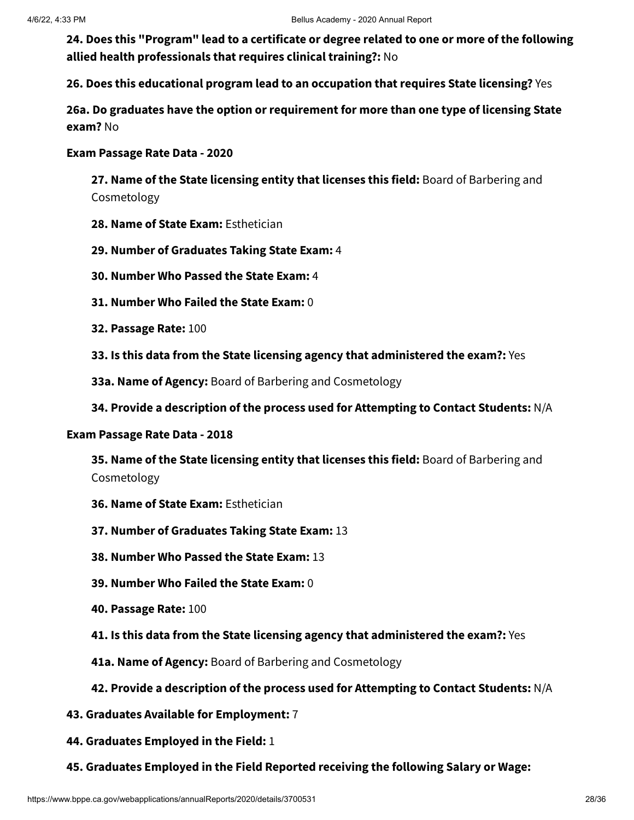**24. Does this "Program" lead to a certificate or degree related to one or more of the following allied health professionals that requires clinical training?:** No

**26. Does this educational program lead to an occupation that requires State licensing?** Yes

**26a. Do graduates have the option or requirement for more than one type of licensing State exam?** No

#### **Exam Passage Rate Data - 2020**

**27. Name of the State licensing entity that licenses this field:** Board of Barbering and Cosmetology

- **28. Name of State Exam:** Esthetician
- **29. Number of Graduates Taking State Exam:** 4
- **30. Number Who Passed the State Exam:** 4
- **31. Number Who Failed the State Exam:** 0
- **32. Passage Rate:** 100
- **33. Is this data from the State licensing agency that administered the exam?:** Yes
- **33a. Name of Agency:** Board of Barbering and Cosmetology
- **34. Provide a description of the process used for Attempting to Contact Students:** N/A

#### **Exam Passage Rate Data - 2018**

**35. Name of the State licensing entity that licenses this field:** Board of Barbering and Cosmetology

- **36. Name of State Exam:** Esthetician
- **37. Number of Graduates Taking State Exam:** 13
- **38. Number Who Passed the State Exam:** 13
- **39. Number Who Failed the State Exam:** 0
- **40. Passage Rate:** 100
- **41. Is this data from the State licensing agency that administered the exam?:** Yes
- **41a. Name of Agency:** Board of Barbering and Cosmetology

#### **42. Provide a description of the process used for Attempting to Contact Students:** N/A

- **43. Graduates Available for Employment:** 7
- **44. Graduates Employed in the Field:** 1
- **45. Graduates Employed in the Field Reported receiving the following Salary or Wage:**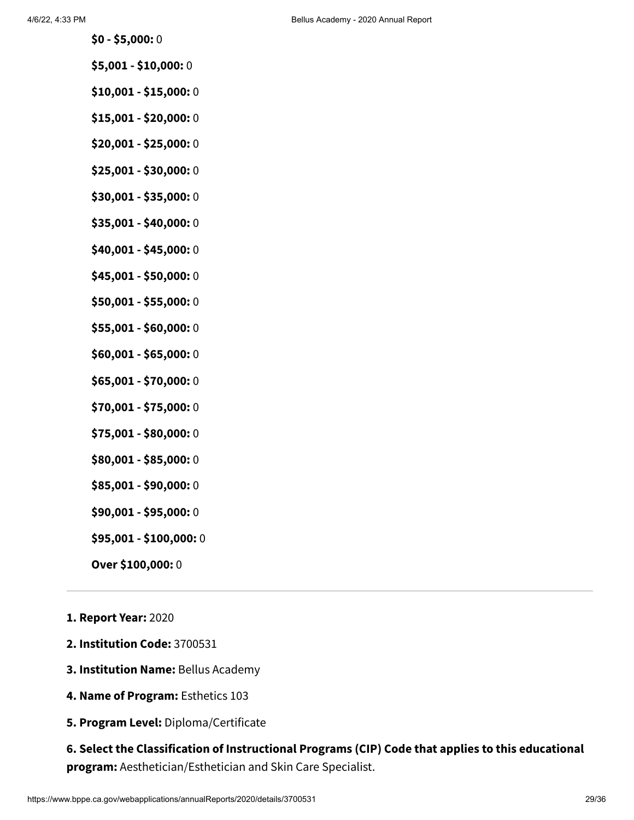- **\$0 - \$5,000:** 0
- **\$5,001 - \$10,000:** 0
- **\$10,001 - \$15,000:** 0
- **\$15,001 - \$20,000:** 0
- **\$20,001 - \$25,000:** 0
- **\$25,001 - \$30,000:** 0
- **\$30,001 - \$35,000:** 0
- **\$35,001 - \$40,000:** 0
- **\$40,001 - \$45,000:** 0
- **\$45,001 - \$50,000:** 0
- **\$50,001 - \$55,000:** 0
- **\$55,001 - \$60,000:** 0
- **\$60,001 - \$65,000:** 0
- **\$65,001 - \$70,000:** 0
- **\$70,001 - \$75,000:** 0
- **\$75,001 - \$80,000:** 0
- **\$80,001 - \$85,000:** 0
- **\$85,001 - \$90,000:** 0
- **\$90,001 - \$95,000:** 0
- **\$95,001 - \$100,000:** 0
- **Over \$100,000:** 0
- **1. Report Year:** 2020
- **2. Institution Code:** 3700531
- **3. Institution Name:** Bellus Academy
- **4. Name of Program:** Esthetics 103
- **5. Program Level:** Diploma/Certificate

**6. Select the Classification of Instructional Programs (CIP) Code that applies to this educational program:** Aesthetician/Esthetician and Skin Care Specialist.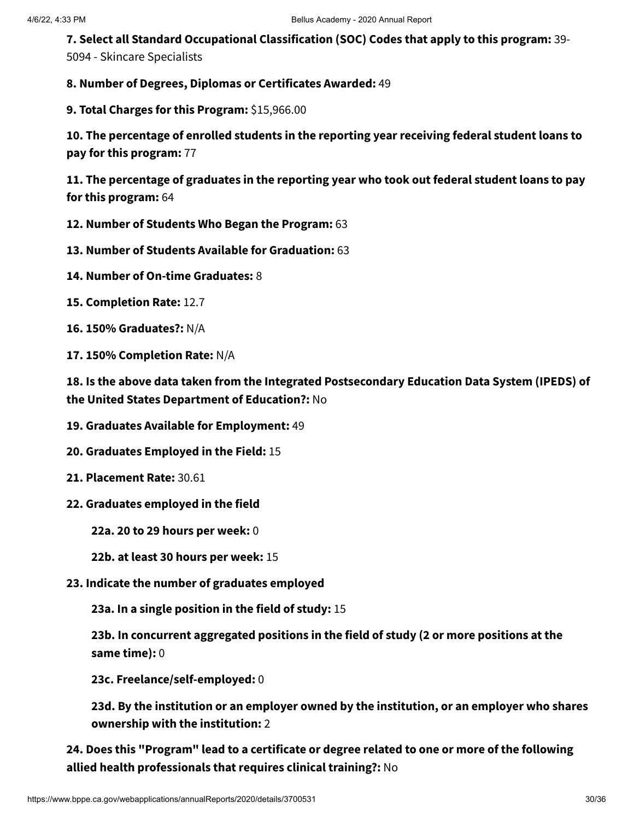**7. Select all Standard Occupational Classification (SOC) Codes that apply to this program:** 39- 5094 - Skincare Specialists

**8. Number of Degrees, Diplomas or Certificates Awarded:** 49

**9. Total Charges for this Program:** \$15,966.00

**10. The percentage of enrolled students in the reporting year receiving federal student loans to pay for this program:** 77

**11. The percentage of graduates in the reporting year who took out federal student loans to pay for this program:** 64

- **12. Number of Students Who Began the Program:** 63
- **13. Number of Students Available for Graduation:** 63
- **14. Number of On-time Graduates:** 8
- **15. Completion Rate:** 12.7
- **16. 150% Graduates?:** N/A
- **17. 150% Completion Rate:** N/A

**18. Is the above data taken from the Integrated Postsecondary Education Data System (IPEDS) of the United States Department of Education?:** No

- **19. Graduates Available for Employment:** 49
- **20. Graduates Employed in the Field:** 15
- **21. Placement Rate:** 30.61
- **22. Graduates employed in the field**
	- **22a. 20 to 29 hours per week:** 0
	- **22b. at least 30 hours per week:** 15
- **23. Indicate the number of graduates employed**

**23a. In a single position in the field of study:** 15

**23b. In concurrent aggregated positions in the field of study (2 or more positions at the same time):** 0

**23c. Freelance/self-employed:** 0

**23d. By the institution or an employer owned by the institution, or an employer who shares ownership with the institution:** 2

**24. Does this "Program" lead to a certificate or degree related to one or more of the following allied health professionals that requires clinical training?:** No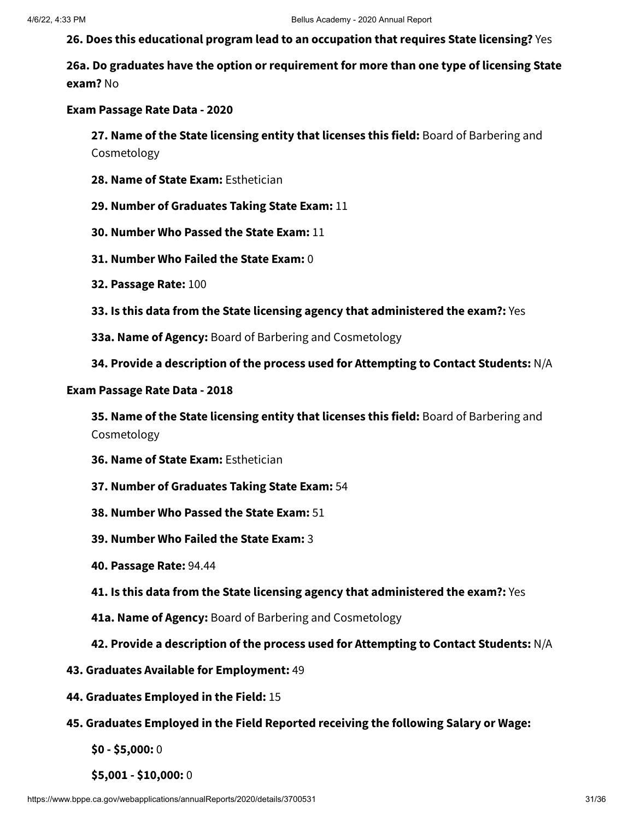**26. Does this educational program lead to an occupation that requires State licensing?** Yes

**26a. Do graduates have the option or requirement for more than one type of licensing State exam?** No

#### **Exam Passage Rate Data - 2020**

**27. Name of the State licensing entity that licenses this field:** Board of Barbering and Cosmetology

- **28. Name of State Exam:** Esthetician
- **29. Number of Graduates Taking State Exam:** 11
- **30. Number Who Passed the State Exam:** 11
- **31. Number Who Failed the State Exam:** 0
- **32. Passage Rate:** 100
- **33. Is this data from the State licensing agency that administered the exam?:** Yes
- **33a. Name of Agency:** Board of Barbering and Cosmetology
- **34. Provide a description of the process used for Attempting to Contact Students:** N/A

#### **Exam Passage Rate Data - 2018**

**35. Name of the State licensing entity that licenses this field:** Board of Barbering and Cosmetology

- **36. Name of State Exam:** Esthetician
- **37. Number of Graduates Taking State Exam:** 54
- **38. Number Who Passed the State Exam:** 51
- **39. Number Who Failed the State Exam:** 3
- **40. Passage Rate:** 94.44
- **41. Is this data from the State licensing agency that administered the exam?:** Yes
- **41a. Name of Agency:** Board of Barbering and Cosmetology
- **42. Provide a description of the process used for Attempting to Contact Students:** N/A
- **43. Graduates Available for Employment:** 49
- **44. Graduates Employed in the Field:** 15
- **45. Graduates Employed in the Field Reported receiving the following Salary or Wage:**
	- **\$0 - \$5,000:** 0
	- **\$5,001 - \$10,000:** 0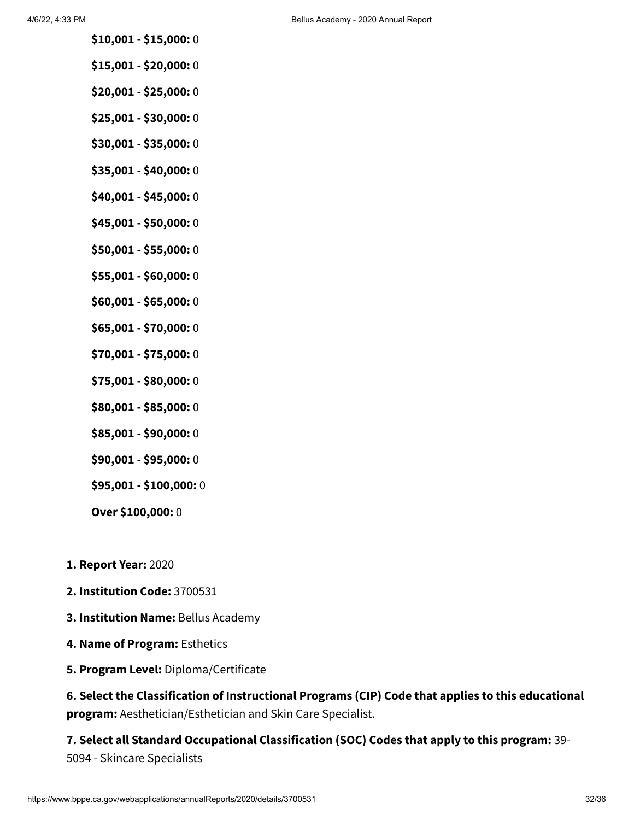- **\$10,001 - \$15,000:** 0
- **\$15,001 - \$20,000:** 0
- **\$20,001 - \$25,000:** 0
- **\$25,001 - \$30,000:** 0
- **\$30,001 - \$35,000:** 0
- **\$35,001 - \$40,000:** 0
- **\$40,001 - \$45,000:** 0
- **\$45,001 - \$50,000:** 0
- **\$50,001 - \$55,000:** 0
- **\$55,001 - \$60,000:** 0
- **\$60,001 - \$65,000:** 0
- **\$65,001 - \$70,000:** 0
- **\$70,001 - \$75,000:** 0
- **\$75,001 - \$80,000:** 0
- **\$80,001 - \$85,000:** 0
- **\$85,001 - \$90,000:** 0
- **\$90,001 - \$95,000:** 0
- **\$95,001 - \$100,000:** 0
- **Over \$100,000:** 0
- **1. Report Year:** 2020
- **2. Institution Code:** 3700531
- **3. Institution Name:** Bellus Academy
- **4. Name of Program:** Esthetics
- **5. Program Level:** Diploma/Certificate

**6. Select the Classification of Instructional Programs (CIP) Code that applies to this educational program:** Aesthetician/Esthetician and Skin Care Specialist.

**7. Select all Standard Occupational Classification (SOC) Codes that apply to this program:** 39- 5094 - Skincare Specialists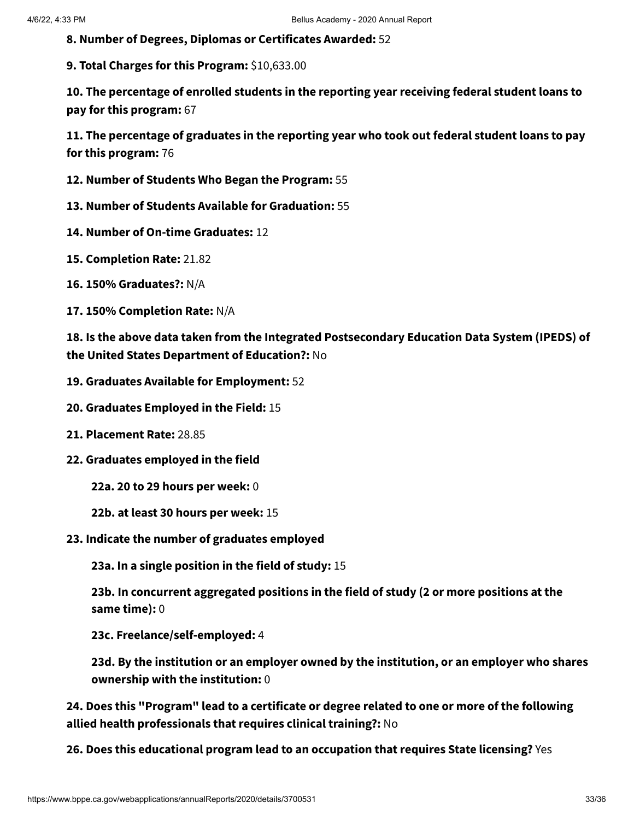**8. Number of Degrees, Diplomas or Certificates Awarded:** 52

**9. Total Charges for this Program:** \$10,633.00

**10. The percentage of enrolled students in the reporting year receiving federal student loans to pay for this program:** 67

**11. The percentage of graduates in the reporting year who took out federal student loans to pay for this program:** 76

- **12. Number of Students Who Began the Program:** 55
- **13. Number of Students Available for Graduation:** 55
- **14. Number of On-time Graduates:** 12
- **15. Completion Rate:** 21.82
- **16. 150% Graduates?:** N/A
- **17. 150% Completion Rate:** N/A

**18. Is the above data taken from the Integrated Postsecondary Education Data System (IPEDS) of the United States Department of Education?:** No

- **19. Graduates Available for Employment:** 52
- **20. Graduates Employed in the Field:** 15
- **21. Placement Rate:** 28.85
- **22. Graduates employed in the field**
	- **22a. 20 to 29 hours per week:** 0
	- **22b. at least 30 hours per week:** 15
- **23. Indicate the number of graduates employed**

**23a. In a single position in the field of study:** 15

**23b. In concurrent aggregated positions in the field of study (2 or more positions at the same time):** 0

**23c. Freelance/self-employed:** 4

**23d. By the institution or an employer owned by the institution, or an employer who shares ownership with the institution:** 0

**24. Does this "Program" lead to a certificate or degree related to one or more of the following allied health professionals that requires clinical training?:** No

**26. Does this educational program lead to an occupation that requires State licensing?** Yes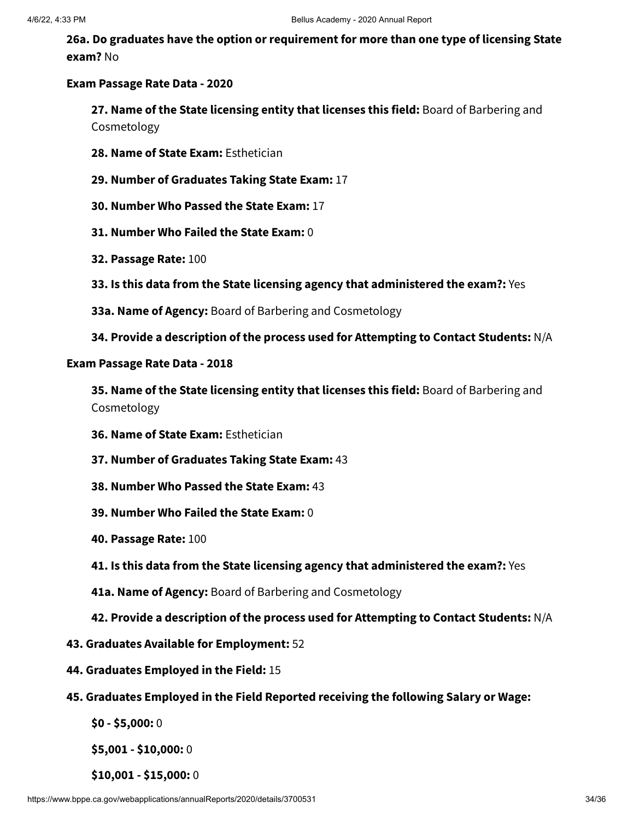**26a. Do graduates have the option or requirement for more than one type of licensing State exam?** No

#### **Exam Passage Rate Data - 2020**

**27. Name of the State licensing entity that licenses this field:** Board of Barbering and Cosmetology

- **28. Name of State Exam:** Esthetician
- **29. Number of Graduates Taking State Exam:** 17
- **30. Number Who Passed the State Exam:** 17
- **31. Number Who Failed the State Exam:** 0
- **32. Passage Rate:** 100
- **33. Is this data from the State licensing agency that administered the exam?:** Yes
- **33a. Name of Agency:** Board of Barbering and Cosmetology
- **34. Provide a description of the process used for Attempting to Contact Students:** N/A

### **Exam Passage Rate Data - 2018**

**35. Name of the State licensing entity that licenses this field:** Board of Barbering and Cosmetology

- **36. Name of State Exam:** Esthetician
- **37. Number of Graduates Taking State Exam:** 43
- **38. Number Who Passed the State Exam:** 43
- **39. Number Who Failed the State Exam:** 0
- **40. Passage Rate:** 100
- **41. Is this data from the State licensing agency that administered the exam?:** Yes
- **41a. Name of Agency:** Board of Barbering and Cosmetology
- **42. Provide a description of the process used for Attempting to Contact Students:** N/A
- **43. Graduates Available for Employment:** 52
- **44. Graduates Employed in the Field:** 15
- **45. Graduates Employed in the Field Reported receiving the following Salary or Wage:**

**\$0 - \$5,000:** 0

**\$5,001 - \$10,000:** 0

**\$10,001 - \$15,000:** 0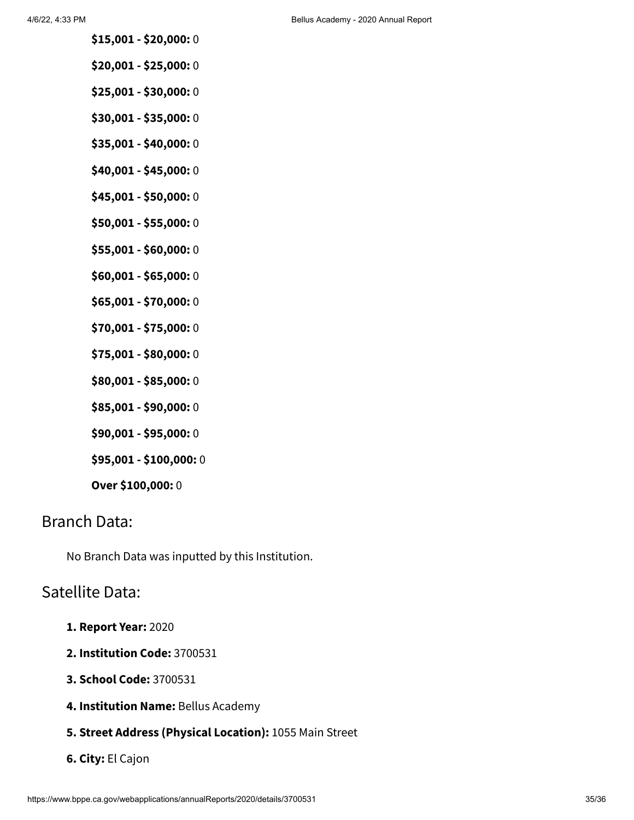- **\$15,001 - \$20,000:** 0
- **\$20,001 - \$25,000:** 0
- **\$25,001 - \$30,000:** 0
- **\$30,001 - \$35,000:** 0
- **\$35,001 - \$40,000:** 0
- **\$40,001 - \$45,000:** 0
- **\$45,001 - \$50,000:** 0
- **\$50,001 - \$55,000:** 0
- **\$55,001 - \$60,000:** 0
- **\$60,001 - \$65,000:** 0
- **\$65,001 - \$70,000:** 0
- **\$70,001 - \$75,000:** 0
- **\$75,001 - \$80,000:** 0
- **\$80,001 - \$85,000:** 0
- **\$85,001 - \$90,000:** 0
- **\$90,001 - \$95,000:** 0
- **\$95,001 - \$100,000:** 0
- **Over \$100,000:** 0

# Branch Data:

No Branch Data was inputted by this Institution.

## Satellite Data:

- **1. Report Year:** 2020
- **2. Institution Code:** 3700531
- **3. School Code:** 3700531
- **4. Institution Name:** Bellus Academy
- **5. Street Address (Physical Location):** 1055 Main Street
- **6. City:** El Cajon